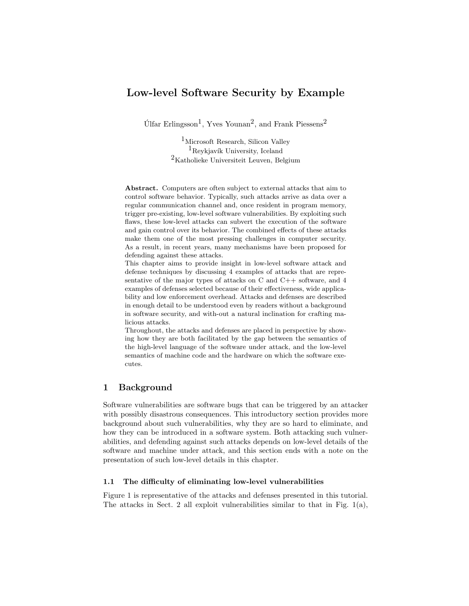# Low-level Software Security by Example

Úlfar Erlingsson<sup>1</sup>, Yves Younan<sup>2</sup>, and Frank Piessens<sup>2</sup>

1Microsoft Research, Silicon Valley  ${}^{1}$ Reykjavík University, Iceland 2Katholieke Universiteit Leuven, Belgium

Abstract. Computers are often subject to external attacks that aim to control software behavior. Typically, such attacks arrive as data over a regular communication channel and, once resident in program memory, trigger pre-existing, low-level software vulnerabilities. By exploiting such flaws, these low-level attacks can subvert the execution of the software and gain control over its behavior. The combined effects of these attacks make them one of the most pressing challenges in computer security. As a result, in recent years, many mechanisms have been proposed for defending against these attacks.

This chapter aims to provide insight in low-level software attack and defense techniques by discussing 4 examples of attacks that are representative of the major types of attacks on  $C$  and  $C_{++}$  software, and 4 examples of defenses selected because of their effectiveness, wide applicability and low enforcement overhead. Attacks and defenses are described in enough detail to be understood even by readers without a background in software security, and with-out a natural inclination for crafting malicious attacks.

Throughout, the attacks and defenses are placed in perspective by showing how they are both facilitated by the gap between the semantics of the high-level language of the software under attack, and the low-level semantics of machine code and the hardware on which the software executes.

# 1 Background

Software vulnerabilities are software bugs that can be triggered by an attacker with possibly disastrous consequences. This introductory section provides more background about such vulnerabilities, why they are so hard to eliminate, and how they can be introduced in a software system. Both attacking such vulnerabilities, and defending against such attacks depends on low-level details of the software and machine under attack, and this section ends with a note on the presentation of such low-level details in this chapter.

# 1.1 The difficulty of eliminating low-level vulnerabilities

Figure 1 is representative of the attacks and defenses presented in this tutorial. The attacks in Sect. 2 all exploit vulnerabilities similar to that in Fig.  $1(a)$ ,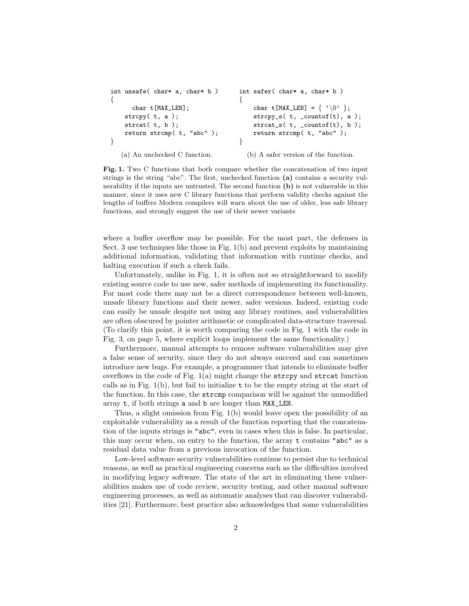```
int unsafe( char* a, char* b )
{
      char t[MAX_LEN];
    strcpy( t, a );
    strcat( t, b );
    return strcmp( t, "abc" );
}
   (a) An unchecked C function.
                                     int safer( char* a, char* b )
                                      {
                                          char t[MAX_LEN] = { ' \ 0' };
                                          strcpy_s(t, _countof(t), a);
                                          strcat_s(t, _countof(t), b);
                                          return strcmp( t, "abc" );
                                      }
                                        (b) A safer version of the function.
```
Fig. 1. Two C functions that both compare whether the concatenation of two input strings is the string "abc". The first, unchecked function (a) contains a security vulnerability if the inputs are untrusted. The second function (b) is not vulnerable in this manner, since it uses new C library functions that perform validity checks against the lengths of buffers Modern compilers will warn about the use of older, less safe library functions, and strongly suggest the use of their newer variants

where a buffer overflow may be possible. For the most part, the defenses in Sect. 3 use techniques like those in Fig. 1(b) and prevent exploits by maintaining additional information, validating that information with runtime checks, and halting execution if such a check fails.

Unfortunately, unlike in Fig. 1, it is often not so straightforward to modify existing source code to use new, safer methods of implementing its functionality. For most code there may not be a direct correspondence between well-known, unsafe library functions and their newer, safer versions. Indeed, existing code can easily be unsafe despite not using any library routines, and vulnerabilities are often obscured by pointer arithmetic or complicated data-structure traversal. (To clarify this point, it is worth comparing the code in Fig. 1 with the code in Fig. 3, on page 5, where explicit loops implement the same functionality.)

Furthermore, manual attempts to remove software vulnerabilities may give a false sense of security, since they do not always succeed and can sometimes introduce new bugs. For example, a programmer that intends to eliminate buffer overflows in the code of Fig.  $1(a)$  might change the strcpy and strcat function calls as in Fig. 1(b), but fail to initialize t to be the empty string at the start of the function. In this case, the strcmp comparison will be against the unmodified array t, if both strings a and b are longer than MAX\_LEN.

Thus, a slight omission from Fig. 1(b) would leave open the possibility of an exploitable vulnerability as a result of the function reporting that the concatenation of the inputs strings is "abc", even in cases when this is false. In particular, this may occur when, on entry to the function, the array t contains "abc" as a residual data value from a previous invocation of the function.

Low-level software security vulnerabilities continue to persist due to technical reasons, as well as practical engineering concerns such as the difficulties involved in modifying legacy software. The state of the art in eliminating these vulnerabilities makes use of code review, security testing, and other manual software engineering processes, as well as automatic analyses that can discover vulnerabilities [21]. Furthermore, best practice also acknowledges that some vulnerabilities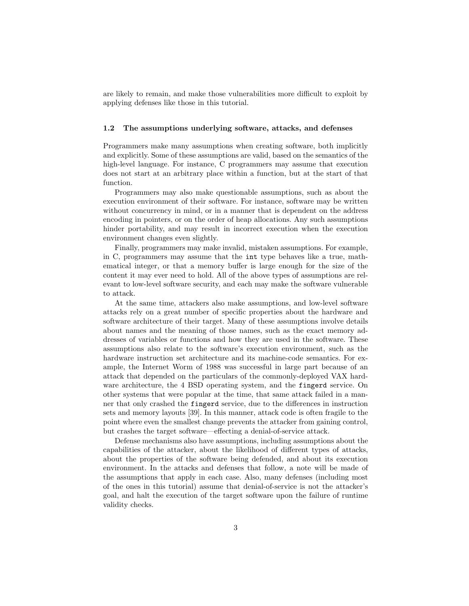are likely to remain, and make those vulnerabilities more difficult to exploit by applying defenses like those in this tutorial.

#### 1.2 The assumptions underlying software, attacks, and defenses

Programmers make many assumptions when creating software, both implicitly and explicitly. Some of these assumptions are valid, based on the semantics of the high-level language. For instance, C programmers may assume that execution does not start at an arbitrary place within a function, but at the start of that function.

Programmers may also make questionable assumptions, such as about the execution environment of their software. For instance, software may be written without concurrency in mind, or in a manner that is dependent on the address encoding in pointers, or on the order of heap allocations. Any such assumptions hinder portability, and may result in incorrect execution when the execution environment changes even slightly.

Finally, programmers may make invalid, mistaken assumptions. For example, in C, programmers may assume that the int type behaves like a true, mathematical integer, or that a memory buffer is large enough for the size of the content it may ever need to hold. All of the above types of assumptions are relevant to low-level software security, and each may make the software vulnerable to attack.

At the same time, attackers also make assumptions, and low-level software attacks rely on a great number of specific properties about the hardware and software architecture of their target. Many of these assumptions involve details about names and the meaning of those names, such as the exact memory addresses of variables or functions and how they are used in the software. These assumptions also relate to the software's execution environment, such as the hardware instruction set architecture and its machine-code semantics. For example, the Internet Worm of 1988 was successful in large part because of an attack that depended on the particulars of the commonly-deployed VAX hardware architecture, the 4 BSD operating system, and the fingerd service. On other systems that were popular at the time, that same attack failed in a manner that only crashed the fingerd service, due to the differences in instruction sets and memory layouts [39]. In this manner, attack code is often fragile to the point where even the smallest change prevents the attacker from gaining control, but crashes the target software—effecting a denial-of-service attack.

Defense mechanisms also have assumptions, including assumptions about the capabilities of the attacker, about the likelihood of different types of attacks, about the properties of the software being defended, and about its execution environment. In the attacks and defenses that follow, a note will be made of the assumptions that apply in each case. Also, many defenses (including most of the ones in this tutorial) assume that denial-of-service is not the attacker's goal, and halt the execution of the target software upon the failure of runtime validity checks.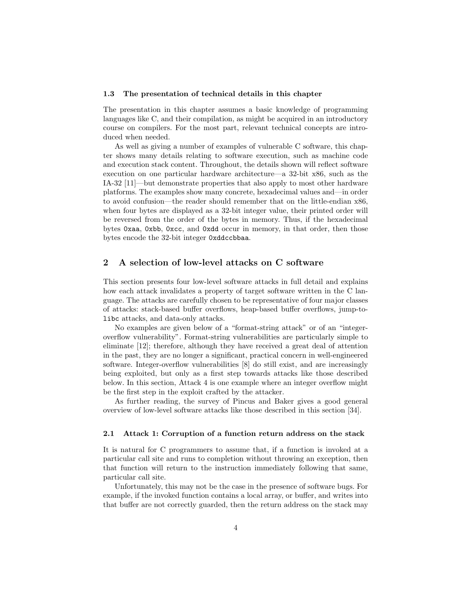### 1.3 The presentation of technical details in this chapter

The presentation in this chapter assumes a basic knowledge of programming languages like C, and their compilation, as might be acquired in an introductory course on compilers. For the most part, relevant technical concepts are introduced when needed.

As well as giving a number of examples of vulnerable C software, this chapter shows many details relating to software execution, such as machine code and execution stack content. Throughout, the details shown will reflect software execution on one particular hardware architecture—a 32-bit x86, such as the IA-32 [11]—but demonstrate properties that also apply to most other hardware platforms. The examples show many concrete, hexadecimal values and—in order to avoid confusion—the reader should remember that on the little-endian x86, when four bytes are displayed as a 32-bit integer value, their printed order will be reversed from the order of the bytes in memory. Thus, if the hexadecimal bytes 0xaa, 0xbb, 0xcc, and 0xdd occur in memory, in that order, then those bytes encode the 32-bit integer 0xddccbbaa.

# 2 A selection of low-level attacks on C software

This section presents four low-level software attacks in full detail and explains how each attack invalidates a property of target software written in the C language. The attacks are carefully chosen to be representative of four major classes of attacks: stack-based buffer overflows, heap-based buffer overflows, jump-tolibc attacks, and data-only attacks.

No examples are given below of a "format-string attack" or of an "integeroverflow vulnerability". Format-string vulnerabilities are particularly simple to eliminate [12]; therefore, although they have received a great deal of attention in the past, they are no longer a significant, practical concern in well-engineered software. Integer-overflow vulnerabilities [8] do still exist, and are increasingly being exploited, but only as a first step towards attacks like those described below. In this section, Attack 4 is one example where an integer overflow might be the first step in the exploit crafted by the attacker.

As further reading, the survey of Pincus and Baker gives a good general overview of low-level software attacks like those described in this section [34].

### 2.1 Attack 1: Corruption of a function return address on the stack

It is natural for C programmers to assume that, if a function is invoked at a particular call site and runs to completion without throwing an exception, then that function will return to the instruction immediately following that same, particular call site.

Unfortunately, this may not be the case in the presence of software bugs. For example, if the invoked function contains a local array, or buffer, and writes into that buffer are not correctly guarded, then the return address on the stack may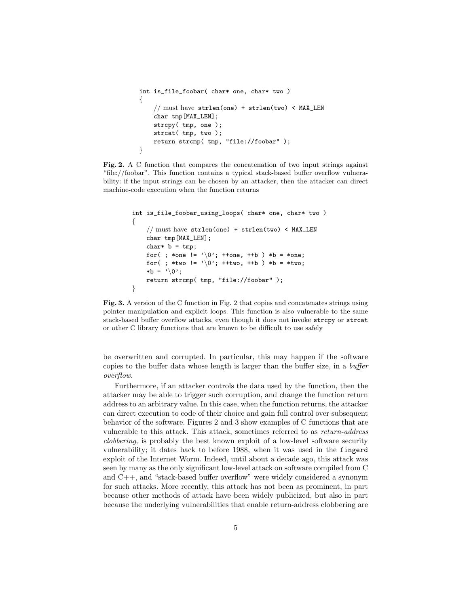```
int is_file_foobar( char* one, char* two )
{
    // must have strlen(one) + strlen(two) < MAX_LEN
   char tmp[MAX_LEN];
   strcpy( tmp, one );
   strcat( tmp, two );
   return strcmp( tmp, "file://foobar" );
}
```
Fig. 2. A C function that compares the concatenation of two input strings against "file://foobar". This function contains a typical stack-based buffer overflow vulnerability: if the input strings can be chosen by an attacker, then the attacker can direct machine-code execution when the function returns

```
int is_file_foobar_using_loops( char* one, char* two )
{
    // must have strlen(one) + strlen(two) < MAX_LEN
    char tmp[MAX_LEN];
    char* b = tmp;for( ; *one != \sqrt{0}; ++one, ++b ) *b = *one;
    for( ; *two != \sqrt{0}; ++two, ++b ) *b = *two;
    *b = '0';return strcmp( tmp, "file://foobar" );
}
```
Fig. 3. A version of the C function in Fig. 2 that copies and concatenates strings using pointer manipulation and explicit loops. This function is also vulnerable to the same stack-based buffer overflow attacks, even though it does not invoke strcpy or strcat or other C library functions that are known to be difficult to use safely

be overwritten and corrupted. In particular, this may happen if the software copies to the buffer data whose length is larger than the buffer size, in a buffer overflow.

Furthermore, if an attacker controls the data used by the function, then the attacker may be able to trigger such corruption, and change the function return address to an arbitrary value. In this case, when the function returns, the attacker can direct execution to code of their choice and gain full control over subsequent behavior of the software. Figures 2 and 3 show examples of C functions that are vulnerable to this attack. This attack, sometimes referred to as return-address clobbering, is probably the best known exploit of a low-level software security vulnerability; it dates back to before 1988, when it was used in the fingerd exploit of the Internet Worm. Indeed, until about a decade ago, this attack was seen by many as the only significant low-level attack on software compiled from C and C++, and "stack-based buffer overflow" were widely considered a synonym for such attacks. More recently, this attack has not been as prominent, in part because other methods of attack have been widely publicized, but also in part because the underlying vulnerabilities that enable return-address clobbering are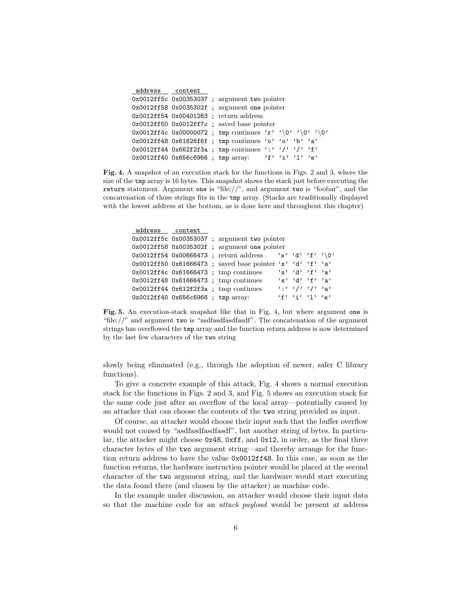| address content |                                                         |
|-----------------|---------------------------------------------------------|
|                 | $0x0012ff5c$ $0x00353037$ ; argument two pointer        |
|                 | $0x0012ff58$ $0x0035302f$ ; argument one pointer        |
|                 | 0x0012ff54 0x00401263; return address                   |
|                 | 0x0012ff50 0x0012ff7c; saved base pointer               |
|                 | 0x0012ff4c 0x00000072; tmp continues 'r' '\0' '\0' '\0' |
|                 | 0x0012ff48 0x61626f6f; tmp continues 'o' 'o' 'b' 'a'    |
|                 | 0x0012ff44 0x662f2f3a; tmp continues ':''/''/''f'       |
|                 | 0x0012ff40 0x656c6966; tmp array: $'f'$ i' $'1'$ 'e'    |

Fig. 4. A snapshot of an execution stack for the functions in Figs. 2 and 3, where the size of the tmp array is 16 bytes. This snapshot shows the stack just before executing the return statement. Argument one is "file://", and argument two is "foobar", and the concatenation of those strings fits in the tmp array. (Stacks are traditionally displayed with the lowest address at the bottom, as is done here and throughout this chapter)

| address content |                                   |                                                            |  |                                                        |  |
|-----------------|-----------------------------------|------------------------------------------------------------|--|--------------------------------------------------------|--|
|                 |                                   | $0x0012ff5c$ $0x00353037$ ; argument two pointer           |  |                                                        |  |
|                 |                                   | $0x0012ff580x0035302f$ ; argument one pointer              |  |                                                        |  |
|                 |                                   | 0x0012ff54 0x00666473; return address 's''d''f''\0'        |  |                                                        |  |
|                 |                                   | 0x0012ff50 0x61666473 ; saved base pointer 's' 'd' 'f' 'a' |  |                                                        |  |
|                 |                                   | $0x0012ff4c$ $0x61666473$ ; tmp continues                  |  | $s'$ , $d'$ , $f'$ , $a'$                              |  |
|                 |                                   | $0x0012ff480x61666473$ ; tmp continues                     |  | $s'$ יג $f'$ , ינאי יצי                                |  |
|                 |                                   | $0x0012ff440x612f2f3a$ ; tmp continues                     |  | $1:1 \t1$                                              |  |
|                 | 0x0012ff40 0x656c6966; tmp array: |                                                            |  | י <sub>ם</sub> י יךי י <sub>ו</sub> י י <del>ו</del> י |  |

Fig. 5. An execution-stack snapshot like that in Fig. 4, but where argument one is "file://" and argument two is "asdfasdfasdfasdf". The concatenation of the argument strings has overflowed the tmp array and the function return address is now determined by the last few characters of the two string

slowly being eliminated (e.g., through the adoption of newer, safer C library functions).

To give a concrete example of this attack, Fig. 4 shows a normal execution stack for the functions in Figs. 2 and 3, and Fig. 5 shows an execution stack for the same code just after an overflow of the local array—potentially caused by an attacker that can choose the contents of the two string provided as input.

Of course, an attacker would choose their input such that the buffer overflow would not caused by "asdfasdfasdfasdf", but another string of bytes. In particular, the attacker might choose  $0x48$ ,  $0xf$ , and  $0x12$ , in order, as the final three character bytes of the two argument string—and thereby arrange for the function return address to have the value 0x0012ff48. In this case, as soon as the function returns, the hardware instruction pointer would be placed at the second character of the two argument string, and the hardware would start executing the data found there (and chosen by the attacker) as machine code.

In the example under discussion, an attacker would choose their input data so that the machine code for an *attack payload* would be present at address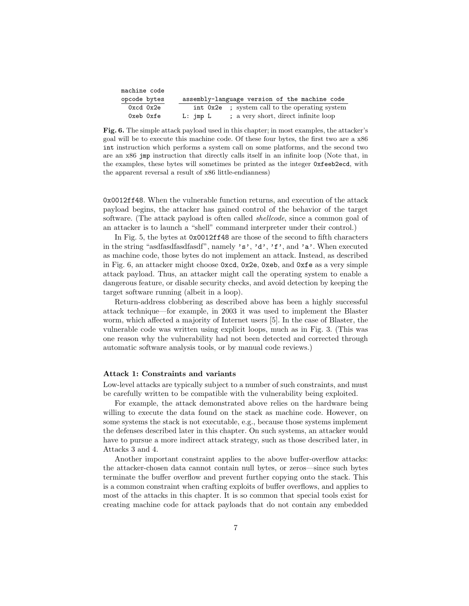| machine code  |              |                                                |
|---------------|--------------|------------------------------------------------|
| opcode bytes  |              | assembly-language version of the machine code  |
| $0xcd$ $0x2e$ |              | int 0x2e ; system call to the operating system |
| Oxeb Oxfe     | $L:$ jmp $L$ | ; a very short, direct infinite loop           |

Fig. 6. The simple attack payload used in this chapter; in most examples, the attacker's goal will be to execute this machine code. Of these four bytes, the first two are a x86 int instruction which performs a system call on some platforms, and the second two are an x86 jmp instruction that directly calls itself in an infinite loop (Note that, in the examples, these bytes will sometimes be printed as the integer 0xfeeb2ecd, with the apparent reversal a result of x86 little-endianness)

0x0012ff48. When the vulnerable function returns, and execution of the attack payload begins, the attacker has gained control of the behavior of the target software. (The attack payload is often called shellcode, since a common goal of an attacker is to launch a "shell" command interpreter under their control.)

In Fig. 5, the bytes at 0x0012ff48 are those of the second to fifth characters in the string "asdfasdfasdfasdf", namely 's', 'd', 'f', and 'a'. When executed as machine code, those bytes do not implement an attack. Instead, as described in Fig. 6, an attacker might choose 0xcd, 0x2e, 0xeb, and 0xfe as a very simple attack payload. Thus, an attacker might call the operating system to enable a dangerous feature, or disable security checks, and avoid detection by keeping the target software running (albeit in a loop).

Return-address clobbering as described above has been a highly successful attack technique—for example, in 2003 it was used to implement the Blaster worm, which affected a majority of Internet users [5]. In the case of Blaster, the vulnerable code was written using explicit loops, much as in Fig. 3. (This was one reason why the vulnerability had not been detected and corrected through automatic software analysis tools, or by manual code reviews.)

### Attack 1: Constraints and variants

Low-level attacks are typically subject to a number of such constraints, and must be carefully written to be compatible with the vulnerability being exploited.

For example, the attack demonstrated above relies on the hardware being willing to execute the data found on the stack as machine code. However, on some systems the stack is not executable, e.g., because those systems implement the defenses described later in this chapter. On such systems, an attacker would have to pursue a more indirect attack strategy, such as those described later, in Attacks 3 and 4.

Another important constraint applies to the above buffer-overflow attacks: the attacker-chosen data cannot contain null bytes, or zeros—since such bytes terminate the buffer overflow and prevent further copying onto the stack. This is a common constraint when crafting exploits of buffer overflows, and applies to most of the attacks in this chapter. It is so common that special tools exist for creating machine code for attack payloads that do not contain any embedded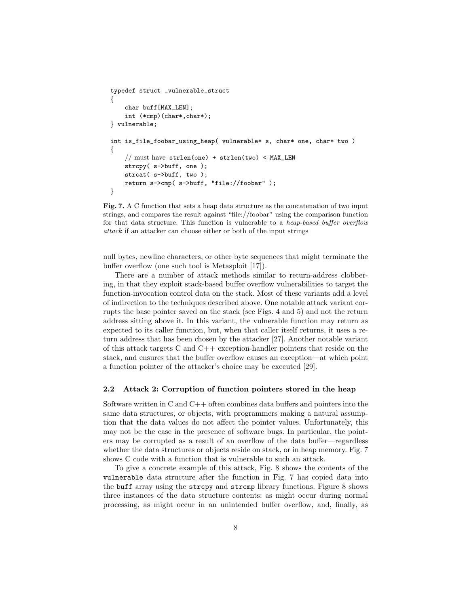```
typedef struct _vulnerable_struct
{
    char buff[MAX_LEN];
    int (*cmp)(char*,char*);
} vulnerable;
int is_file_foobar_using_heap( vulnerable* s, char* one, char* two )
{
    // must have strlen(one) + strlen(two) < MAX_LEN
    strcpy( s->buff, one );
    strcat( s->buff, two );
    return s->cmp( s->buff, "file://foobar" );
}
```
Fig. 7. A C function that sets a heap data structure as the concatenation of two input strings, and compares the result against "file://foobar" using the comparison function for that data structure. This function is vulnerable to a heap-based buffer overflow attack if an attacker can choose either or both of the input strings

null bytes, newline characters, or other byte sequences that might terminate the buffer overflow (one such tool is Metasploit [17]).

There are a number of attack methods similar to return-address clobbering, in that they exploit stack-based buffer overflow vulnerabilities to target the function-invocation control data on the stack. Most of these variants add a level of indirection to the techniques described above. One notable attack variant corrupts the base pointer saved on the stack (see Figs. 4 and 5) and not the return address sitting above it. In this variant, the vulnerable function may return as expected to its caller function, but, when that caller itself returns, it uses a return address that has been chosen by the attacker [27]. Another notable variant of this attack targets C and C++ exception-handler pointers that reside on the stack, and ensures that the buffer overflow causes an exception—at which point a function pointer of the attacker's choice may be executed [29].

#### 2.2 Attack 2: Corruption of function pointers stored in the heap

Software written in C and C++ often combines data buffers and pointers into the same data structures, or objects, with programmers making a natural assumption that the data values do not affect the pointer values. Unfortunately, this may not be the case in the presence of software bugs. In particular, the pointers may be corrupted as a result of an overflow of the data buffer—regardless whether the data structures or objects reside on stack, or in heap memory. Fig. 7 shows C code with a function that is vulnerable to such an attack.

To give a concrete example of this attack, Fig. 8 shows the contents of the vulnerable data structure after the function in Fig. 7 has copied data into the buff array using the strcpy and strcmp library functions. Figure 8 shows three instances of the data structure contents: as might occur during normal processing, as might occur in an unintended buffer overflow, and, finally, as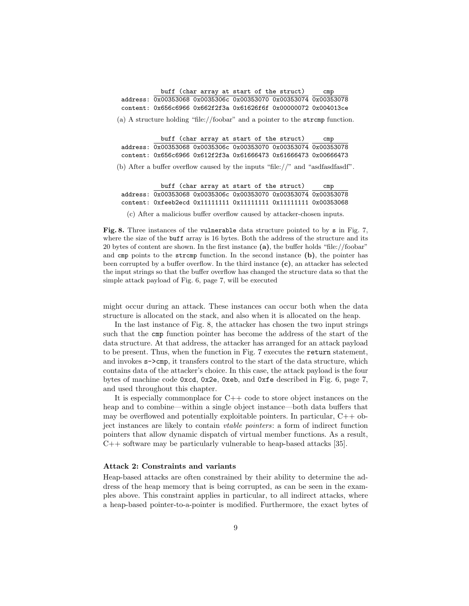buff (char array at start of the struct) cmp address: 0x00353068 0x0035306c 0x00353070 0x00353074 0x00353078 content: 0x656c6966 0x662f2f3a 0x61626f6f 0x00000072 0x004013ce

(a) A structure holding "file://foobar" and a pointer to the strcmp function.

|  | buff (char array at start of the struct)                        | cmp |
|--|-----------------------------------------------------------------|-----|
|  | address: 0x00353068 0x0035306c 0x00353070 0x00353074 0x00353078 |     |
|  | content: 0x656c6966 0x612f2f3a 0x61666473 0x61666473 0x00666473 |     |

(b) After a buffer overflow caused by the inputs "file://" and "asdfasdfasdf".

buff (char array at start of the struct) cmp address: 0x00353068 0x0035306c 0x00353070 0x00353074 0x00353078 content: 0xfeeb2ecd 0x11111111 0x11111111 0x11111111 0x00353068

(c) After a malicious buffer overflow caused by attacker-chosen inputs.

Fig. 8. Three instances of the vulnerable data structure pointed to by s in Fig. 7, where the size of the buff array is 16 bytes. Both the address of the structure and its 20 bytes of content are shown. In the first instance  $(a)$ , the buffer holds "file://foobar" and cmp points to the strcmp function. In the second instance (b), the pointer has been corrupted by a buffer overflow. In the third instance (c), an attacker has selected the input strings so that the buffer overflow has changed the structure data so that the simple attack payload of Fig. 6, page 7, will be executed

might occur during an attack. These instances can occur both when the data structure is allocated on the stack, and also when it is allocated on the heap.

In the last instance of Fig. 8, the attacker has chosen the two input strings such that the cmp function pointer has become the address of the start of the data structure. At that address, the attacker has arranged for an attack payload to be present. Thus, when the function in Fig. 7 executes the return statement, and invokes s->cmp, it transfers control to the start of the data structure, which contains data of the attacker's choice. In this case, the attack payload is the four bytes of machine code 0xcd, 0x2e, 0xeb, and 0xfe described in Fig. 6, page 7, and used throughout this chapter.

It is especially commonplace for C++ code to store object instances on the heap and to combine—within a single object instance—both data buffers that may be overflowed and potentially exploitable pointers. In particular,  $C++$  object instances are likely to contain vtable pointers: a form of indirect function pointers that allow dynamic dispatch of virtual member functions. As a result,  $C_{++}$  software may be particularly vulnerable to heap-based attacks [35].

# Attack 2: Constraints and variants

Heap-based attacks are often constrained by their ability to determine the address of the heap memory that is being corrupted, as can be seen in the examples above. This constraint applies in particular, to all indirect attacks, where a heap-based pointer-to-a-pointer is modified. Furthermore, the exact bytes of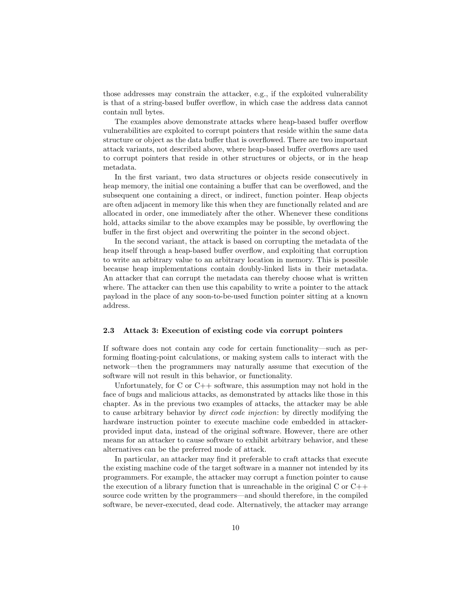those addresses may constrain the attacker, e.g., if the exploited vulnerability is that of a string-based buffer overflow, in which case the address data cannot contain null bytes.

The examples above demonstrate attacks where heap-based buffer overflow vulnerabilities are exploited to corrupt pointers that reside within the same data structure or object as the data buffer that is overflowed. There are two important attack variants, not described above, where heap-based buffer overflows are used to corrupt pointers that reside in other structures or objects, or in the heap metadata.

In the first variant, two data structures or objects reside consecutively in heap memory, the initial one containing a buffer that can be overflowed, and the subsequent one containing a direct, or indirect, function pointer. Heap objects are often adjacent in memory like this when they are functionally related and are allocated in order, one immediately after the other. Whenever these conditions hold, attacks similar to the above examples may be possible, by overflowing the buffer in the first object and overwriting the pointer in the second object.

In the second variant, the attack is based on corrupting the metadata of the heap itself through a heap-based buffer overflow, and exploiting that corruption to write an arbitrary value to an arbitrary location in memory. This is possible because heap implementations contain doubly-linked lists in their metadata. An attacker that can corrupt the metadata can thereby choose what is written where. The attacker can then use this capability to write a pointer to the attack payload in the place of any soon-to-be-used function pointer sitting at a known address.

#### 2.3 Attack 3: Execution of existing code via corrupt pointers

If software does not contain any code for certain functionality—such as performing floating-point calculations, or making system calls to interact with the network—then the programmers may naturally assume that execution of the software will not result in this behavior, or functionality.

Unfortunately, for  $C$  or  $C++$  software, this assumption may not hold in the face of bugs and malicious attacks, as demonstrated by attacks like those in this chapter. As in the previous two examples of attacks, the attacker may be able to cause arbitrary behavior by direct code injection: by directly modifying the hardware instruction pointer to execute machine code embedded in attackerprovided input data, instead of the original software. However, there are other means for an attacker to cause software to exhibit arbitrary behavior, and these alternatives can be the preferred mode of attack.

In particular, an attacker may find it preferable to craft attacks that execute the existing machine code of the target software in a manner not intended by its programmers. For example, the attacker may corrupt a function pointer to cause the execution of a library function that is unreachable in the original C or  $C_{++}$ source code written by the programmers—and should therefore, in the compiled software, be never-executed, dead code. Alternatively, the attacker may arrange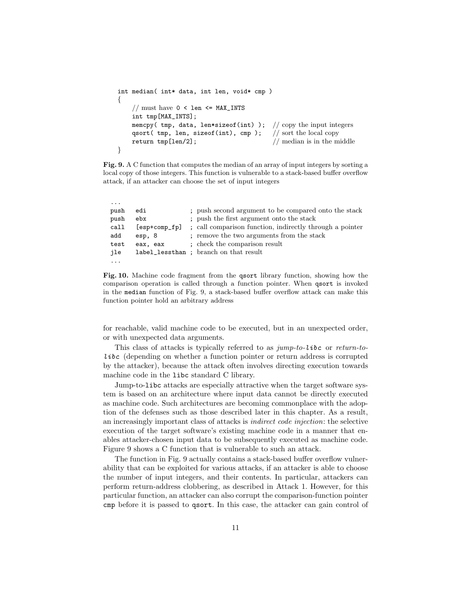```
int median( int* data, int len, void* cmp )
{
   // must have 0 < len \leq MAX_INTS
   int tmp[MAX_INTS];
   memcpy( tmp, data, len*sizeof(int) ); // copy the input integers
   qsort( tmp, len, sizeof(int), cmp ); // sort the local copy
   return tmp[len/2]; // median is in the middle
}
```
Fig. 9. A C function that computes the median of an array of input integers by sorting a local copy of those integers. This function is vulnerable to a stack-based buffer overflow attack, if an attacker can choose the set of input integers

| push | edi             | ; push second argument to be compared onto the stack     |
|------|-----------------|----------------------------------------------------------|
| push | ebx             | ; push the first argument onto the stack                 |
| call | $[esp+comp_fp]$ | ; call comparison function, indirectly through a pointer |
| add  | esp, 8          | ; remove the two arguments from the stack                |
| test | eax, eax        | ; check the comparison result                            |
| ile  |                 | label_lessthan; branch on that result                    |
|      |                 |                                                          |

Fig. 10. Machine code fragment from the qsort library function, showing how the comparison operation is called through a function pointer. When qsort is invoked in the median function of Fig. 9, a stack-based buffer overflow attack can make this function pointer hold an arbitrary address

for reachable, valid machine code to be executed, but in an unexpected order, or with unexpected data arguments.

This class of attacks is typically referred to as jump-to-libc or return-tolibc (depending on whether a function pointer or return address is corrupted by the attacker), because the attack often involves directing execution towards machine code in the libc standard C library.

Jump-to-libc attacks are especially attractive when the target software system is based on an architecture where input data cannot be directly executed as machine code. Such architectures are becoming commonplace with the adoption of the defenses such as those described later in this chapter. As a result, an increasingly important class of attacks is indirect code injection: the selective execution of the target software's existing machine code in a manner that enables attacker-chosen input data to be subsequently executed as machine code. Figure 9 shows a C function that is vulnerable to such an attack.

The function in Fig. 9 actually contains a stack-based buffer overflow vulnerability that can be exploited for various attacks, if an attacker is able to choose the number of input integers, and their contents. In particular, attackers can perform return-address clobbering, as described in Attack 1. However, for this particular function, an attacker can also corrupt the comparison-function pointer cmp before it is passed to qsort. In this case, the attacker can gain control of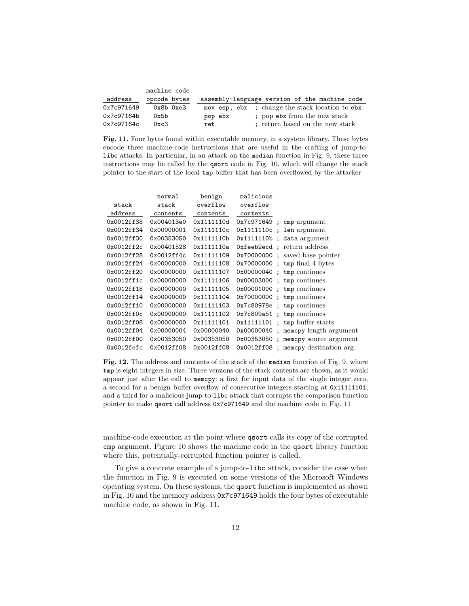|            | machine code |                                                |  |
|------------|--------------|------------------------------------------------|--|
| address    | opcode bytes | assembly-language version of the machine code  |  |
| 0x7c971649 | 0x8b 0xe3    | mov esp, ebx; change the stack location to ebx |  |
| 0x7c97164b | 0x5b         | ; pop ebx from the new stack<br>pop ebx        |  |
| 0x7c97164c | 0xc3         | ; return based on the new stack<br>ret         |  |

Fig. 11. Four bytes found within executable memory, in a system library. These bytes encode three machine-code instructions that are useful in the crafting of jump-tolibc attacks. In particular, in an attack on the median function in Fig. 9, these three instructions may be called by the qsort code in Fig. 10, which will change the stack pointer to the start of the local tmp buffer that has been overflowed by the attacker

|               | normal     | benign     | malicious                    |                                     |
|---------------|------------|------------|------------------------------|-------------------------------------|
| stack         | stack      | overflow   | overflow                     |                                     |
| address       | contents   | contents   | contents                     |                                     |
| 0x0012ff38    | 0x004013e0 | 0x1111110d | 0x7c971649;                  | cmp argument                        |
| 0x0012ff34    | 0x00000001 | 0x1111110c |                              | $0x1111110c$ ; len argument         |
| 0x0012ff30    | 0x00353050 | 0x1111110b |                              | $0x1111110b$ ; data argument        |
| 0x0012ff2c    | 0x00401528 | 0x1111110a |                              | Oxfeeb2ecd; return address          |
| 0x0012ff28    | 0x0012ff4c | 0x11111109 |                              | $0x70000000$ ; saved base pointer   |
| 0x0012ff24    | 0x00000000 | 0x11111108 |                              | $0x70000000$ ; tmp final 4 bytes    |
| 0x0012ff20    | 0x00000000 | 0x11111107 |                              | $0x00000040$ ; tmp continues        |
| 0x0012ff1c    | 0x00000000 | 0x11111106 | 0x00003000                   | tmp continues<br>$\ddot{\cdot}$     |
| 0x0012ff18    | 0x00000000 | 0x11111105 | 0x00001000                   | tmp continues<br>$\cdot$ :          |
| 0x0012ff14    | 0x00000000 | 0x11111104 | 0x70000000                   | tmp continues<br>$\ddot{\cdot}$     |
| 0x0012ff10    | 0x00000000 | 0x11111103 | 0x7c80978e<br>$\ddot{\cdot}$ | tmp continues                       |
| 0x0012ff0c    | 0x00000000 | 0x11111102 | 0x7c809a51                   | tmp continues                       |
| 0x0012ff08    | 0x00000000 | 0x11111101 | 0x11111101                   | tmp buffer starts<br>$\ddot{\cdot}$ |
| 0x0012ff04    | 0x00000004 | 0x00000040 | 0x00000040<br>$\ddot{\cdot}$ | memory length argument              |
| 0x0012ff00    | 0x00353050 | 0x00353050 | 0x00353050                   | memory source argument              |
| $0x0012$ fefc | 0x0012ff08 | 0x0012ff08 | 0x0012ff08<br>$\ddot{\cdot}$ | memory destination arg.             |
|               |            |            |                              |                                     |

Fig. 12. The address and contents of the stack of the median function of Fig. 9, where tmp is eight integers in size. Three versions of the stack contents are shown, as it would appear just after the call to memcpy: a first for input data of the single integer zero, a second for a benign buffer overflow of consecutive integers starting at 0x11111101, and a third for a malicious jump-to-libc attack that corrupts the comparison function pointer to make qsort call address 0x7c971649 and the machine code in Fig. 11

machine-code execution at the point where qsort calls its copy of the corrupted cmp argument. Figure 10 shows the machine code in the qsort library function where this, potentially-corrupted function pointer is called.

To give a concrete example of a jump-to-libc attack, consider the case when the function in Fig. 9 is executed on some versions of the Microsoft Windows operating system. On these systems, the qsort function is implemented as shown in Fig. 10 and the memory address 0x7c971649 holds the four bytes of executable machine code, as shown in Fig. 11.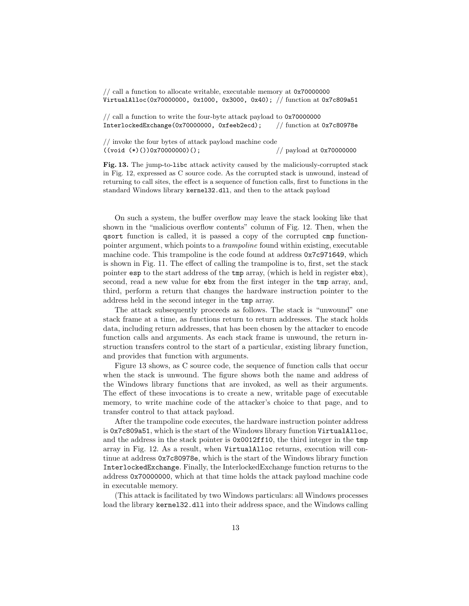// call a function to allocate writable, executable memory at 0x70000000 VirtualAlloc(0x70000000, 0x1000, 0x3000, 0x40); // function at 0x7c809a51

// call a function to write the four-byte attack payload to 0x70000000 InterlockedExchange(0x70000000, 0xfeeb2ecd); // function at 0x7c80978e

// invoke the four bytes of attack payload machine code  $((void (*)())0x70000000())$ ; // payload at 0x70000000

Fig. 13. The jump-to-libc attack activity caused by the maliciously-corrupted stack in Fig. 12, expressed as C source code. As the corrupted stack is unwound, instead of returning to call sites, the effect is a sequence of function calls, first to functions in the standard Windows library kernel32.dll, and then to the attack payload

On such a system, the buffer overflow may leave the stack looking like that shown in the "malicious overflow contents" column of Fig. 12. Then, when the qsort function is called, it is passed a copy of the corrupted cmp functionpointer argument, which points to a trampoline found within existing, executable machine code. This trampoline is the code found at address  $0x7c971649$ , which is shown in Fig. 11. The effect of calling the trampoline is to, first, set the stack pointer esp to the start address of the tmp array, (which is held in register ebx), second, read a new value for ebx from the first integer in the tmp array, and, third, perform a return that changes the hardware instruction pointer to the address held in the second integer in the tmp array.

The attack subsequently proceeds as follows. The stack is "unwound" one stack frame at a time, as functions return to return addresses. The stack holds data, including return addresses, that has been chosen by the attacker to encode function calls and arguments. As each stack frame is unwound, the return instruction transfers control to the start of a particular, existing library function, and provides that function with arguments.

Figure 13 shows, as C source code, the sequence of function calls that occur when the stack is unwound. The figure shows both the name and address of the Windows library functions that are invoked, as well as their arguments. The effect of these invocations is to create a new, writable page of executable memory, to write machine code of the attacker's choice to that page, and to transfer control to that attack payload.

After the trampoline code executes, the hardware instruction pointer address is 0x7c809a51, which is the start of the Windows library function VirtualAlloc, and the address in the stack pointer is 0x0012ff10, the third integer in the tmp array in Fig. 12. As a result, when VirtualAlloc returns, execution will continue at address 0x7c80978e, which is the start of the Windows library function InterlockedExchange. Finally, the InterlockedExchange function returns to the address 0x70000000, which at that time holds the attack payload machine code in executable memory.

(This attack is facilitated by two Windows particulars: all Windows processes load the library kernel32.dll into their address space, and the Windows calling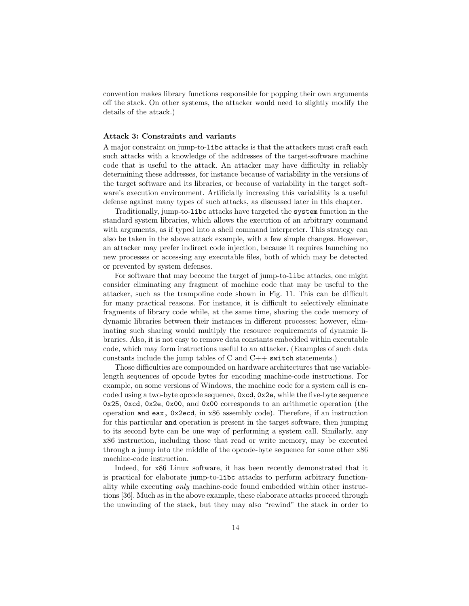convention makes library functions responsible for popping their own arguments off the stack. On other systems, the attacker would need to slightly modify the details of the attack.)

### Attack 3: Constraints and variants

A major constraint on jump-to-libc attacks is that the attackers must craft each such attacks with a knowledge of the addresses of the target-software machine code that is useful to the attack. An attacker may have difficulty in reliably determining these addresses, for instance because of variability in the versions of the target software and its libraries, or because of variability in the target software's execution environment. Artificially increasing this variability is a useful defense against many types of such attacks, as discussed later in this chapter.

Traditionally, jump-to-libc attacks have targeted the system function in the standard system libraries, which allows the execution of an arbitrary command with arguments, as if typed into a shell command interpreter. This strategy can also be taken in the above attack example, with a few simple changes. However, an attacker may prefer indirect code injection, because it requires launching no new processes or accessing any executable files, both of which may be detected or prevented by system defenses.

For software that may become the target of jump-to-libc attacks, one might consider eliminating any fragment of machine code that may be useful to the attacker, such as the trampoline code shown in Fig. 11. This can be difficult for many practical reasons. For instance, it is difficult to selectively eliminate fragments of library code while, at the same time, sharing the code memory of dynamic libraries between their instances in different processes; however, eliminating such sharing would multiply the resource requirements of dynamic libraries. Also, it is not easy to remove data constants embedded within executable code, which may form instructions useful to an attacker. (Examples of such data constants include the jump tables of  $C$  and  $C++$  switch statements.)

Those difficulties are compounded on hardware architectures that use variablelength sequences of opcode bytes for encoding machine-code instructions. For example, on some versions of Windows, the machine code for a system call is encoded using a two-byte opcode sequence, 0xcd, 0x2e, while the five-byte sequence 0x25, 0xcd, 0x2e, 0x00, and 0x00 corresponds to an arithmetic operation (the operation and eax, 0x2ecd, in x86 assembly code). Therefore, if an instruction for this particular and operation is present in the target software, then jumping to its second byte can be one way of performing a system call. Similarly, any x86 instruction, including those that read or write memory, may be executed through a jump into the middle of the opcode-byte sequence for some other x86 machine-code instruction.

Indeed, for x86 Linux software, it has been recently demonstrated that it is practical for elaborate jump-to-libc attacks to perform arbitrary functionality while executing only machine-code found embedded within other instructions [36]. Much as in the above example, these elaborate attacks proceed through the unwinding of the stack, but they may also "rewind" the stack in order to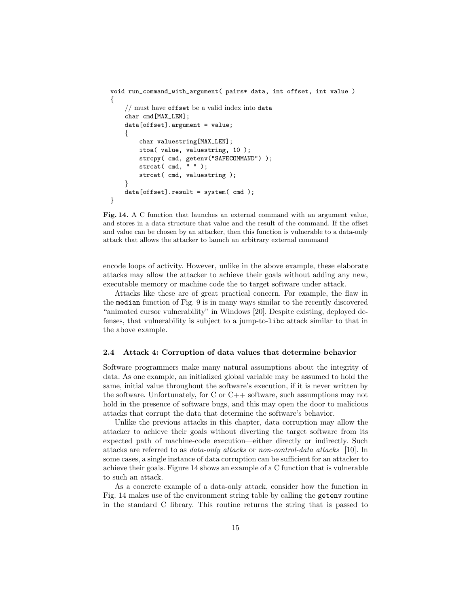```
void run_command_with_argument( pairs* data, int offset, int value )
{
    // must have offset be a valid index into data
    char cmd[MAX_LEN];
    data[offset].argument = value;
    {
        char valuestring[MAX_LEN];
        itoa( value, valuestring, 10 );
        strcpy( cmd, getenv("SAFECOMMAND") );
        strcat( cmd, " " );
        strcat( cmd, valuestring );
    }
    data[offset].result = system( cmd );
}
```
Fig. 14. A C function that launches an external command with an argument value, and stores in a data structure that value and the result of the command. If the offset and value can be chosen by an attacker, then this function is vulnerable to a data-only attack that allows the attacker to launch an arbitrary external command

encode loops of activity. However, unlike in the above example, these elaborate attacks may allow the attacker to achieve their goals without adding any new, executable memory or machine code the to target software under attack.

Attacks like these are of great practical concern. For example, the flaw in the median function of Fig. 9 is in many ways similar to the recently discovered "animated cursor vulnerability" in Windows [20]. Despite existing, deployed defenses, that vulnerability is subject to a jump-to-libc attack similar to that in the above example.

#### 2.4 Attack 4: Corruption of data values that determine behavior

Software programmers make many natural assumptions about the integrity of data. As one example, an initialized global variable may be assumed to hold the same, initial value throughout the software's execution, if it is never written by the software. Unfortunately, for C or C++ software, such assumptions may not hold in the presence of software bugs, and this may open the door to malicious attacks that corrupt the data that determine the software's behavior.

Unlike the previous attacks in this chapter, data corruption may allow the attacker to achieve their goals without diverting the target software from its expected path of machine-code execution—either directly or indirectly. Such attacks are referred to as data-only attacks or non-control-data attacks [10]. In some cases, a single instance of data corruption can be sufficient for an attacker to achieve their goals. Figure 14 shows an example of a C function that is vulnerable to such an attack.

As a concrete example of a data-only attack, consider how the function in Fig. 14 makes use of the environment string table by calling the getenv routine in the standard C library. This routine returns the string that is passed to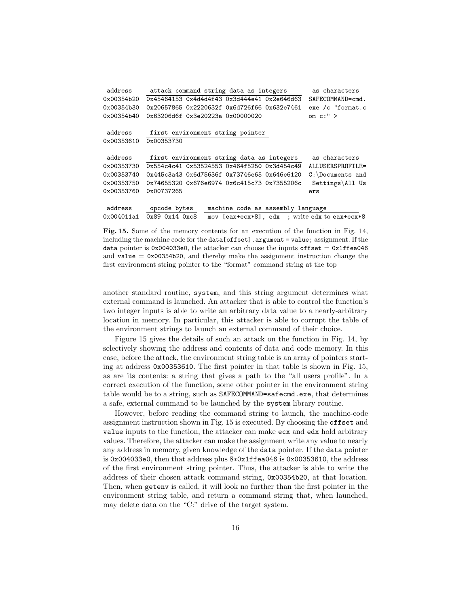| address    | attack command string data as integers                                | as characters                    |
|------------|-----------------------------------------------------------------------|----------------------------------|
| 0x00354b20 | 0x45464153 0x4d4d4f43 0x3d444e41 0x2e646d63                           | SAFECOMMAND=cmd.                 |
| 0x00354b30 | 0x20657865 0x2220632f 0x6d726f66 0x632e7461                           | $exc/c$ "format.c                |
| 0x00354b40 | 0x63206d6f 0x3e20223a 0x00000020                                      | $\alpha$ m $\alpha$ : $\alpha$ > |
| address    | first environment string pointer                                      |                                  |
| 0x00353610 | 0x00353730                                                            |                                  |
| address    | first environment string data as integers                             | as characters                    |
| 0x00353730 | 0x554c4c41 0x53524553 0x464f5250 0x3d454c49                           | ALLUSERSPROFILE=                 |
| 0x00353740 | 0x445c3a43 0x6d75636f 0x73746e65 0x646e6120                           | $C:\Delta$ Documents and         |
| 0x00353750 | 0x74655320 0x676e6974 0x6c415c73 0x7355206c                           | Settings\All Us                  |
| 0x00353760 | 0x00737265                                                            | ers                              |
| address    | machine code as assembly language<br>opcode bytes                     |                                  |
| 0x004011a1 | $0x89$ $0x14$ $0xc8$<br>mov [eax+ecx*8], edx ; write edx to eax+ecx*8 |                                  |

Fig. 15. Some of the memory contents for an execution of the function in Fig. 14, including the machine code for the data[offset].argument = value; assignment. If the data pointer is  $0x004033e0$ , the attacker can choose the inputs offset =  $0x1ffea046$ and  $value = 0x00354b20$ , and thereby make the assignment instruction change the first environment string pointer to the "format" command string at the top

another standard routine, system, and this string argument determines what external command is launched. An attacker that is able to control the function's two integer inputs is able to write an arbitrary data value to a nearly-arbitrary location in memory. In particular, this attacker is able to corrupt the table of the environment strings to launch an external command of their choice.

Figure 15 gives the details of such an attack on the function in Fig. 14, by selectively showing the address and contents of data and code memory. In this case, before the attack, the environment string table is an array of pointers starting at address 0x00353610. The first pointer in that table is shown in Fig. 15, as are its contents: a string that gives a path to the "all users profile". In a correct execution of the function, some other pointer in the environment string table would be to a string, such as SAFECOMMAND=safecmd.exe, that determines a safe, external command to be launched by the system library routine.

However, before reading the command string to launch, the machine-code assignment instruction shown in Fig. 15 is executed. By choosing the offset and value inputs to the function, the attacker can make ecx and edx hold arbitrary values. Therefore, the attacker can make the assignment write any value to nearly any address in memory, given knowledge of the data pointer. If the data pointer is 0x004033e0, then that address plus 8∗0x1ffea046 is 0x00353610, the address of the first environment string pointer. Thus, the attacker is able to write the address of their chosen attack command string, 0x00354b20, at that location. Then, when getenv is called, it will look no further than the first pointer in the environment string table, and return a command string that, when launched, may delete data on the "C:" drive of the target system.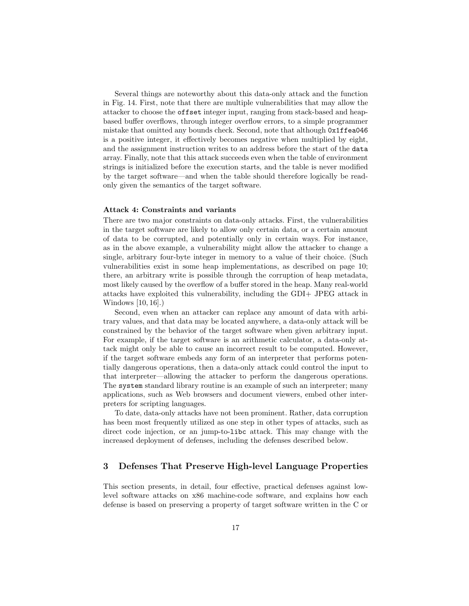Several things are noteworthy about this data-only attack and the function in Fig. 14. First, note that there are multiple vulnerabilities that may allow the attacker to choose the offset integer input, ranging from stack-based and heapbased buffer overflows, through integer overflow errors, to a simple programmer mistake that omitted any bounds check. Second, note that although 0x1ffea046 is a positive integer, it effectively becomes negative when multiplied by eight, and the assignment instruction writes to an address before the start of the data array. Finally, note that this attack succeeds even when the table of environment strings is initialized before the execution starts, and the table is never modified by the target software—and when the table should therefore logically be readonly given the semantics of the target software.

# Attack 4: Constraints and variants

There are two major constraints on data-only attacks. First, the vulnerabilities in the target software are likely to allow only certain data, or a certain amount of data to be corrupted, and potentially only in certain ways. For instance, as in the above example, a vulnerability might allow the attacker to change a single, arbitrary four-byte integer in memory to a value of their choice. (Such vulnerabilities exist in some heap implementations, as described on page 10; there, an arbitrary write is possible through the corruption of heap metadata, most likely caused by the overflow of a buffer stored in the heap. Many real-world attacks have exploited this vulnerability, including the GDI+ JPEG attack in Windows [10, 16].)

Second, even when an attacker can replace any amount of data with arbitrary values, and that data may be located anywhere, a data-only attack will be constrained by the behavior of the target software when given arbitrary input. For example, if the target software is an arithmetic calculator, a data-only attack might only be able to cause an incorrect result to be computed. However, if the target software embeds any form of an interpreter that performs potentially dangerous operations, then a data-only attack could control the input to that interpreter—allowing the attacker to perform the dangerous operations. The system standard library routine is an example of such an interpreter; many applications, such as Web browsers and document viewers, embed other interpreters for scripting languages.

To date, data-only attacks have not been prominent. Rather, data corruption has been most frequently utilized as one step in other types of attacks, such as direct code injection, or an jump-to-libc attack. This may change with the increased deployment of defenses, including the defenses described below.

# 3 Defenses That Preserve High-level Language Properties

This section presents, in detail, four effective, practical defenses against lowlevel software attacks on x86 machine-code software, and explains how each defense is based on preserving a property of target software written in the C or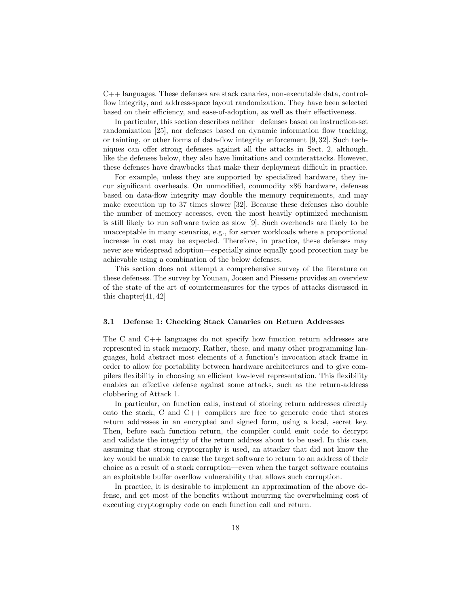C++ languages. These defenses are stack canaries, non-executable data, controlflow integrity, and address-space layout randomization. They have been selected based on their efficiency, and ease-of-adoption, as well as their effectiveness.

In particular, this section describes neither defenses based on instruction-set randomization [25], nor defenses based on dynamic information flow tracking, or tainting, or other forms of data-flow integrity enforcement [9, 32]. Such techniques can offer strong defenses against all the attacks in Sect. 2, although, like the defenses below, they also have limitations and counterattacks. However, these defenses have drawbacks that make their deployment difficult in practice.

For example, unless they are supported by specialized hardware, they incur significant overheads. On unmodified, commodity x86 hardware, defenses based on data-flow integrity may double the memory requirements, and may make execution up to 37 times slower [32]. Because these defenses also double the number of memory accesses, even the most heavily optimized mechanism is still likely to run software twice as slow [9]. Such overheads are likely to be unacceptable in many scenarios, e.g., for server workloads where a proportional increase in cost may be expected. Therefore, in practice, these defenses may never see widespread adoption—especially since equally good protection may be achievable using a combination of the below defenses.

This section does not attempt a comprehensive survey of the literature on these defenses. The survey by Younan, Joosen and Piessens provides an overview of the state of the art of countermeasures for the types of attacks discussed in this chapter[41, 42]

# 3.1 Defense 1: Checking Stack Canaries on Return Addresses

The C and C++ languages do not specify how function return addresses are represented in stack memory. Rather, these, and many other programming languages, hold abstract most elements of a function's invocation stack frame in order to allow for portability between hardware architectures and to give compilers flexibility in choosing an efficient low-level representation. This flexibility enables an effective defense against some attacks, such as the return-address clobbering of Attack 1.

In particular, on function calls, instead of storing return addresses directly onto the stack, C and C++ compilers are free to generate code that stores return addresses in an encrypted and signed form, using a local, secret key. Then, before each function return, the compiler could emit code to decrypt and validate the integrity of the return address about to be used. In this case, assuming that strong cryptography is used, an attacker that did not know the key would be unable to cause the target software to return to an address of their choice as a result of a stack corruption—even when the target software contains an exploitable buffer overflow vulnerability that allows such corruption.

In practice, it is desirable to implement an approximation of the above defense, and get most of the benefits without incurring the overwhelming cost of executing cryptography code on each function call and return.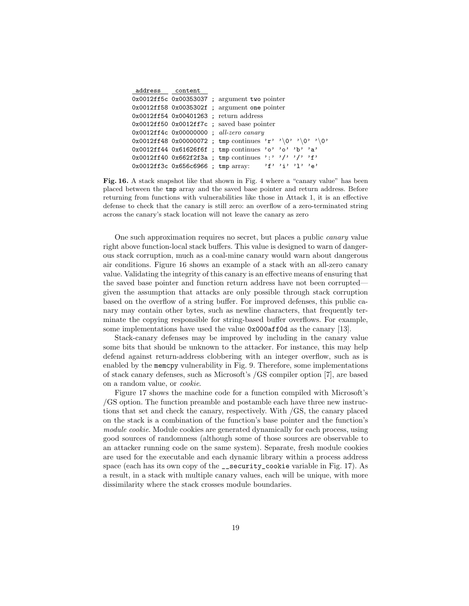| address content |  |                                                         |
|-----------------|--|---------------------------------------------------------|
|                 |  | $0x0012ff5c$ $0x00353037$ ; argument two pointer        |
|                 |  | 0x0012ff58 0x0035302f; argument one pointer             |
|                 |  | 0x0012ff54 0x00401263; return address                   |
|                 |  | 0x0012ff50 0x0012ff7c; saved base pointer               |
|                 |  | $0x0012ff4c$ $0x00000000$ ; all-zero canary             |
|                 |  | 0x0012ff48 0x00000072; tmp continues 'r' '\0' '\0' '\0' |
|                 |  | 0x0012ff44 0x61626f6f; tmp continues 'o' 'o' 'b' 'a'    |
|                 |  | 0x0012ff40 0x662f2f3a; tmp continues ':''/''/''f'       |
|                 |  | 0x0012ff3c 0x656c6966; tmp array: $if' i' i' j' e'$     |

Fig. 16. A stack snapshot like that shown in Fig. 4 where a "canary value" has been placed between the tmp array and the saved base pointer and return address. Before returning from functions with vulnerabilities like those in Attack 1, it is an effective defense to check that the canary is still zero: an overflow of a zero-terminated string across the canary's stack location will not leave the canary as zero

One such approximation requires no secret, but places a public canary value right above function-local stack buffers. This value is designed to warn of dangerous stack corruption, much as a coal-mine canary would warn about dangerous air conditions. Figure 16 shows an example of a stack with an all-zero canary value. Validating the integrity of this canary is an effective means of ensuring that the saved base pointer and function return address have not been corrupted given the assumption that attacks are only possible through stack corruption based on the overflow of a string buffer. For improved defenses, this public canary may contain other bytes, such as newline characters, that frequently terminate the copying responsible for string-based buffer overflows. For example, some implementations have used the value 0x000aff0d as the canary [13].

Stack-canary defenses may be improved by including in the canary value some bits that should be unknown to the attacker. For instance, this may help defend against return-address clobbering with an integer overflow, such as is enabled by the memcpy vulnerability in Fig. 9. Therefore, some implementations of stack canary defenses, such as Microsoft's /GS compiler option [7], are based on a random value, or cookie.

Figure 17 shows the machine code for a function compiled with Microsoft's /GS option. The function preamble and postamble each have three new instructions that set and check the canary, respectively. With /GS, the canary placed on the stack is a combination of the function's base pointer and the function's module cookie. Module cookies are generated dynamically for each process, using good sources of randomness (although some of those sources are observable to an attacker running code on the same system). Separate, fresh module cookies are used for the executable and each dynamic library within a process address space (each has its own copy of the \_\_security\_cookie variable in Fig. 17). As a result, in a stack with multiple canary values, each will be unique, with more dissimilarity where the stack crosses module boundaries.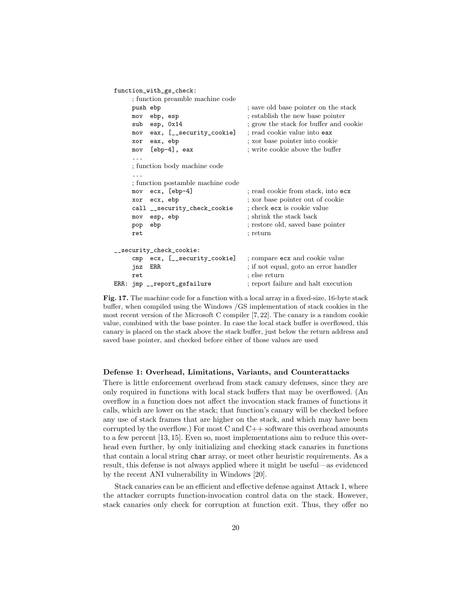```
function_with_gs_check:
    ; function preamble machine code
    push ebp ; save old base pointer on the stack
    mov ebp, esp ; establish the new base pointer
    sub esp, 0x14 ; grow the stack for buffer and cookie
    mov eax, [__security_cookie] ; read cookie value into eax
    xor eax, ebp ; xor base pointer into cookie
    mov [ebp-4], eax ; write cookie above the buffer
     ...
    ; function body machine code
     ...
    ; function postamble machine code
    mov ecx, [ebp-4] ; read cookie from stack, into ecx
    xor ecx, ebp ; xor base pointer out of cookie
    call __security_check_cookie ; check ecx is cookie value
    mov esp, ebp ; shrink the stack back
    pop ebp ; restore old, saved base pointer
    ret : return : return : return : return : return : return : return : return : return : return : return : return : return : return : return : return : return : return : return : return : return : return : return : return : 
__security_check_cookie:
     cmp ecx, [__security_cookie] ; compare ecx and cookie value
     jnz ERR ; if not equal, goto an error handler
    ret ; else return
ERR: jmp __report_gsfailure ; report failure and halt execution
```
Fig. 17. The machine code for a function with a local array in a fixed-size, 16-byte stack buffer, when compiled using the Windows /GS implementation of stack cookies in the most recent version of the Microsoft C compiler [7, 22]. The canary is a random cookie value, combined with the base pointer. In case the local stack buffer is overflowed, this canary is placed on the stack above the stack buffer, just below the return address and saved base pointer, and checked before either of those values are used

# Defense 1: Overhead, Limitations, Variants, and Counterattacks

There is little enforcement overhead from stack canary defenses, since they are only required in functions with local stack buffers that may be overflowed. (An overflow in a function does not affect the invocation stack frames of functions it calls, which are lower on the stack; that function's canary will be checked before any use of stack frames that are higher on the stack, and which may have been corrupted by the overflow.) For most  $C$  and  $C++$  software this overhead amounts to a few percent [13, 15]. Even so, most implementations aim to reduce this overhead even further, by only initializing and checking stack canaries in functions that contain a local string char array, or meet other heuristic requirements. As a result, this defense is not always applied where it might be useful—as evidenced by the recent ANI vulnerability in Windows [20].

Stack canaries can be an efficient and effective defense against Attack 1, where the attacker corrupts function-invocation control data on the stack. However, stack canaries only check for corruption at function exit. Thus, they offer no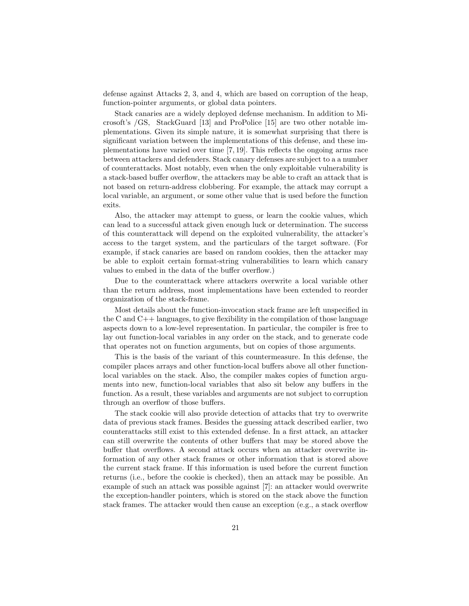defense against Attacks 2, 3, and 4, which are based on corruption of the heap, function-pointer arguments, or global data pointers.

Stack canaries are a widely deployed defense mechanism. In addition to Microsoft's /GS, StackGuard [13] and ProPolice [15] are two other notable implementations. Given its simple nature, it is somewhat surprising that there is significant variation between the implementations of this defense, and these implementations have varied over time [7, 19]. This reflects the ongoing arms race between attackers and defenders. Stack canary defenses are subject to a a number of counterattacks. Most notably, even when the only exploitable vulnerability is a stack-based buffer overflow, the attackers may be able to craft an attack that is not based on return-address clobbering. For example, the attack may corrupt a local variable, an argument, or some other value that is used before the function exits.

Also, the attacker may attempt to guess, or learn the cookie values, which can lead to a successful attack given enough luck or determination. The success of this counterattack will depend on the exploited vulnerability, the attacker's access to the target system, and the particulars of the target software. (For example, if stack canaries are based on random cookies, then the attacker may be able to exploit certain format-string vulnerabilities to learn which canary values to embed in the data of the buffer overflow.)

Due to the counterattack where attackers overwrite a local variable other than the return address, most implementations have been extended to reorder organization of the stack-frame.

Most details about the function-invocation stack frame are left unspecified in the C and  $C_{++}$  languages, to give flexibility in the compilation of those language aspects down to a low-level representation. In particular, the compiler is free to lay out function-local variables in any order on the stack, and to generate code that operates not on function arguments, but on copies of those arguments.

This is the basis of the variant of this countermeasure. In this defense, the compiler places arrays and other function-local buffers above all other functionlocal variables on the stack. Also, the compiler makes copies of function arguments into new, function-local variables that also sit below any buffers in the function. As a result, these variables and arguments are not subject to corruption through an overflow of those buffers.

The stack cookie will also provide detection of attacks that try to overwrite data of previous stack frames. Besides the guessing attack described earlier, two counterattacks still exist to this extended defense. In a first attack, an attacker can still overwrite the contents of other buffers that may be stored above the buffer that overflows. A second attack occurs when an attacker overwrite information of any other stack frames or other information that is stored above the current stack frame. If this information is used before the current function returns (i.e., before the cookie is checked), then an attack may be possible. An example of such an attack was possible against [7]: an attacker would overwrite the exception-handler pointers, which is stored on the stack above the function stack frames. The attacker would then cause an exception (e.g., a stack overflow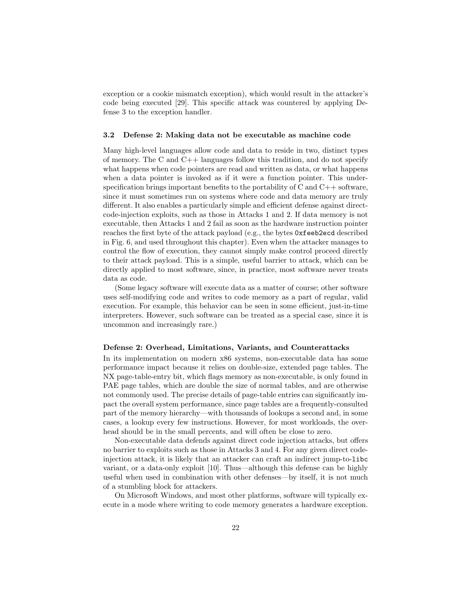exception or a cookie mismatch exception), which would result in the attacker's code being executed [29]. This specific attack was countered by applying Defense 3 to the exception handler.

#### 3.2 Defense 2: Making data not be executable as machine code

Many high-level languages allow code and data to reside in two, distinct types of memory. The C and C++ languages follow this tradition, and do not specify what happens when code pointers are read and written as data, or what happens when a data pointer is invoked as if it were a function pointer. This underspecification brings important benefits to the portability of  $C$  and  $C++$  software, since it must sometimes run on systems where code and data memory are truly different. It also enables a particularly simple and efficient defense against directcode-injection exploits, such as those in Attacks 1 and 2. If data memory is not executable, then Attacks 1 and 2 fail as soon as the hardware instruction pointer reaches the first byte of the attack payload (e.g., the bytes 0xfeeb2ecd described in Fig. 6, and used throughout this chapter). Even when the attacker manages to control the flow of execution, they cannot simply make control proceed directly to their attack payload. This is a simple, useful barrier to attack, which can be directly applied to most software, since, in practice, most software never treats data as code.

(Some legacy software will execute data as a matter of course; other software uses self-modifying code and writes to code memory as a part of regular, valid execution. For example, this behavior can be seen in some efficient, just-in-time interpreters. However, such software can be treated as a special case, since it is uncommon and increasingly rare.)

### Defense 2: Overhead, Limitations, Variants, and Counterattacks

In its implementation on modern x86 systems, non-executable data has some performance impact because it relies on double-size, extended page tables. The NX page-table-entry bit, which flags memory as non-executable, is only found in PAE page tables, which are double the size of normal tables, and are otherwise not commonly used. The precise details of page-table entries can significantly impact the overall system performance, since page tables are a frequently-consulted part of the memory hierarchy—with thousands of lookups a second and, in some cases, a lookup every few instructions. However, for most workloads, the overhead should be in the small percents, and will often be close to zero.

Non-executable data defends against direct code injection attacks, but offers no barrier to exploits such as those in Attacks 3 and 4. For any given direct codeinjection attack, it is likely that an attacker can craft an indirect jump-to-libc variant, or a data-only exploit [10]. Thus—although this defense can be highly useful when used in combination with other defenses—by itself, it is not much of a stumbling block for attackers.

On Microsoft Windows, and most other platforms, software will typically execute in a mode where writing to code memory generates a hardware exception.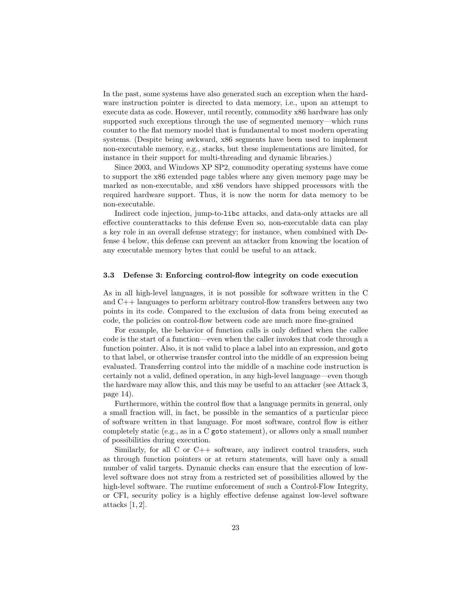In the past, some systems have also generated such an exception when the hardware instruction pointer is directed to data memory, i.e., upon an attempt to execute data as code. However, until recently, commodity x86 hardware has only supported such exceptions through the use of segmented memory—which runs counter to the flat memory model that is fundamental to most modern operating systems. (Despite being awkward, x86 segments have been used to implement non-executable memory, e.g., stacks, but these implementations are limited, for instance in their support for multi-threading and dynamic libraries.)

Since 2003, and Windows XP SP2, commodity operating systems have come to support the x86 extended page tables where any given memory page may be marked as non-executable, and x86 vendors have shipped processors with the required hardware support. Thus, it is now the norm for data memory to be non-executable.

Indirect code injection, jump-to-libc attacks, and data-only attacks are all effective counterattacks to this defense Even so, non-executable data can play a key role in an overall defense strategy; for instance, when combined with Defense 4 below, this defense can prevent an attacker from knowing the location of any executable memory bytes that could be useful to an attack.

### 3.3 Defense 3: Enforcing control-flow integrity on code execution

As in all high-level languages, it is not possible for software written in the C and C++ languages to perform arbitrary control-flow transfers between any two points in its code. Compared to the exclusion of data from being executed as code, the policies on control-flow between code are much more fine-grained

For example, the behavior of function calls is only defined when the callee code is the start of a function—even when the caller invokes that code through a function pointer. Also, it is not valid to place a label into an expression, and goto to that label, or otherwise transfer control into the middle of an expression being evaluated. Transferring control into the middle of a machine code instruction is certainly not a valid, defined operation, in any high-level language—even though the hardware may allow this, and this may be useful to an attacker (see Attack 3, page 14).

Furthermore, within the control flow that a language permits in general, only a small fraction will, in fact, be possible in the semantics of a particular piece of software written in that language. For most software, control flow is either completely static (e.g., as in a C goto statement), or allows only a small number of possibilities during execution.

Similarly, for all  $C$  or  $C++$  software, any indirect control transfers, such as through function pointers or at return statements, will have only a small number of valid targets. Dynamic checks can ensure that the execution of lowlevel software does not stray from a restricted set of possibilities allowed by the high-level software. The runtime enforcement of such a Control-Flow Integrity, or CFI, security policy is a highly effective defense against low-level software attacks  $[1, 2]$ .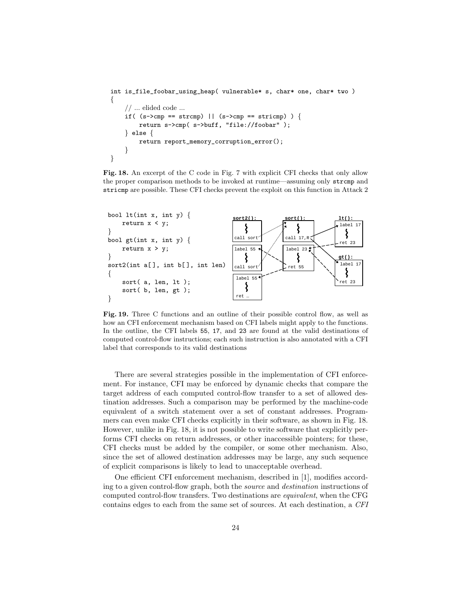```
int is_file_foobar_using_heap( vulnerable* s, char* one, char* two )
{
     // \dots elided code ...
     if( (s-\text{comp} == \text{stromp}) || (s-\text{comp} == \text{strimp}) ) {
         return s->cmp( s->buff, "file://foobar" );
     } else {
         return report_memory_corruption_error();
     }
}
```
Fig. 18. An excerpt of the C code in Fig. 7 with explicit CFI checks that only allow the proper comparison methods to be invoked at runtime—assuming only strcmp and stricmp are possible. These CFI checks prevent the exploit on this function in Attack 2



Fig. 19. Three C functions and an outline of their possible control flow, as well as how an CFI enforcement mechanism based on CFI labels might apply to the functions. In the outline, the CFI labels 55, 17, and 23 are found at the valid destinations of computed control-flow instructions; each such instruction is also annotated with a CFI label that corresponds to its valid destinations

There are several strategies possible in the implementation of CFI enforcement. For instance, CFI may be enforced by dynamic checks that compare the target address of each computed control-flow transfer to a set of allowed destination addresses. Such a comparison may be performed by the machine-code equivalent of a switch statement over a set of constant addresses. Programmers can even make CFI checks explicitly in their software, as shown in Fig. 18. However, unlike in Fig. 18, it is not possible to write software that explicitly performs CFI checks on return addresses, or other inaccessible pointers; for these, CFI checks must be added by the compiler, or some other mechanism. Also, since the set of allowed destination addresses may be large, any such sequence of explicit comparisons is likely to lead to unacceptable overhead.

One efficient CFI enforcement mechanism, described in [1], modifies according to a given control-flow graph, both the source and destination instructions of computed control-flow transfers. Two destinations are equivalent, when the CFG contains edges to each from the same set of sources. At each destination, a CFI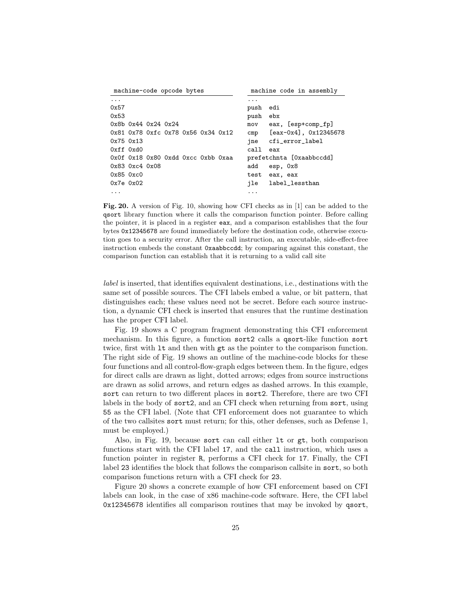| machine-code opcode bytes                       | machine code in assembly     |
|-------------------------------------------------|------------------------------|
| .                                               | $\cdots$                     |
| 0x57                                            | push<br>edi                  |
| 0x53                                            | ebx<br>push                  |
| $0x8h$ $0x44$ $0x24$ $0x24$                     | eax, [esp+comp_fp]<br>mov    |
| 0x81 0x78 0xfc 0x78 0x56 0x34 0x12              | [eax-0x4], 0x12345678<br>cmp |
| 0x750x13                                        | cfi_error_label<br>jne       |
| $0xff$ $0xd0$                                   | call<br>eax                  |
| $0x0f$ $0x18$ $0x80$ $0xdd$ $0xc$ $0xbb$ $0xaa$ | prefetchnta [Oxaabbccdd]     |
| $0x83$ $0xc4$ $0x08$                            | add<br>esp, Ox8              |
| 0x850xc0                                        | test<br>eax, eax             |
| $0x7e$ $0x02$                                   | label_lessthan<br>ile        |
|                                                 | .                            |

Fig. 20. A version of Fig. 10, showing how CFI checks as in [1] can be added to the qsort library function where it calls the comparison function pointer. Before calling the pointer, it is placed in a register eax, and a comparison establishes that the four bytes 0x12345678 are found immediately before the destination code, otherwise execution goes to a security error. After the call instruction, an executable, side-effect-free instruction embeds the constant 0xaabbccdd; by comparing against this constant, the comparison function can establish that it is returning to a valid call site

label is inserted, that identifies equivalent destinations, i.e., destinations with the same set of possible sources. The CFI labels embed a value, or bit pattern, that distinguishes each; these values need not be secret. Before each source instruction, a dynamic CFI check is inserted that ensures that the runtime destination has the proper CFI label.

Fig. 19 shows a C program fragment demonstrating this CFI enforcement mechanism. In this figure, a function sort2 calls a qsort-like function sort twice, first with lt and then with gt as the pointer to the comparison function. The right side of Fig. 19 shows an outline of the machine-code blocks for these four functions and all control-flow-graph edges between them. In the figure, edges for direct calls are drawn as light, dotted arrows; edges from source instructions are drawn as solid arrows, and return edges as dashed arrows. In this example, sort can return to two different places in sort2. Therefore, there are two CFI labels in the body of sort2, and an CFI check when returning from sort, using 55 as the CFI label. (Note that CFI enforcement does not guarantee to which of the two callsites sort must return; for this, other defenses, such as Defense 1, must be employed.)

Also, in Fig. 19, because sort can call either lt or gt, both comparison functions start with the CFI label 17, and the call instruction, which uses a function pointer in register R, performs a CFI check for 17. Finally, the CFI label 23 identifies the block that follows the comparison callsite in sort, so both comparison functions return with a CFI check for 23.

Figure 20 shows a concrete example of how CFI enforcement based on CFI labels can look, in the case of x86 machine-code software. Here, the CFI label 0x12345678 identifies all comparison routines that may be invoked by qsort,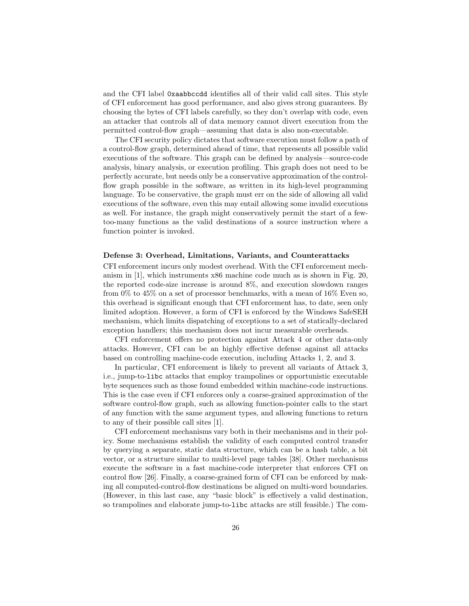and the CFI label 0xaabbccdd identifies all of their valid call sites. This style of CFI enforcement has good performance, and also gives strong guarantees. By choosing the bytes of CFI labels carefully, so they don't overlap with code, even an attacker that controls all of data memory cannot divert execution from the permitted control-flow graph—assuming that data is also non-executable.

The CFI security policy dictates that software execution must follow a path of a control-flow graph, determined ahead of time, that represents all possible valid executions of the software. This graph can be defined by analysis—source-code analysis, binary analysis, or execution profiling. This graph does not need to be perfectly accurate, but needs only be a conservative approximation of the controlflow graph possible in the software, as written in its high-level programming language. To be conservative, the graph must err on the side of allowing all valid executions of the software, even this may entail allowing some invalid executions as well. For instance, the graph might conservatively permit the start of a fewtoo-many functions as the valid destinations of a source instruction where a function pointer is invoked.

# Defense 3: Overhead, Limitations, Variants, and Counterattacks

CFI enforcement incurs only modest overhead. With the CFI enforcement mechanism in [1], which instruments x86 machine code much as is shown in Fig. 20, the reported code-size increase is around 8%, and execution slowdown ranges from 0% to 45% on a set of processor benchmarks, with a mean of 16% Even so, this overhead is significant enough that CFI enforcement has, to date, seen only limited adoption. However, a form of CFI is enforced by the Windows SafeSEH mechanism, which limits dispatching of exceptions to a set of statically-declared exception handlers; this mechanism does not incur measurable overheads.

CFI enforcement offers no protection against Attack 4 or other data-only attacks. However, CFI can be an highly effective defense against all attacks based on controlling machine-code execution, including Attacks 1, 2, and 3.

In particular, CFI enforcement is likely to prevent all variants of Attack 3, i.e., jump-to-libc attacks that employ trampolines or opportunistic executable byte sequences such as those found embedded within machine-code instructions. This is the case even if CFI enforces only a coarse-grained approximation of the software control-flow graph, such as allowing function-pointer calls to the start of any function with the same argument types, and allowing functions to return to any of their possible call sites [1].

CFI enforcement mechanisms vary both in their mechanisms and in their policy. Some mechanisms establish the validity of each computed control transfer by querying a separate, static data structure, which can be a hash table, a bit vector, or a structure similar to multi-level page tables [38]. Other mechanisms execute the software in a fast machine-code interpreter that enforces CFI on control flow [26]. Finally, a coarse-grained form of CFI can be enforced by making all computed-control-flow destinations be aligned on multi-word boundaries. (However, in this last case, any "basic block" is effectively a valid destination, so trampolines and elaborate jump-to-libc attacks are still feasible.) The com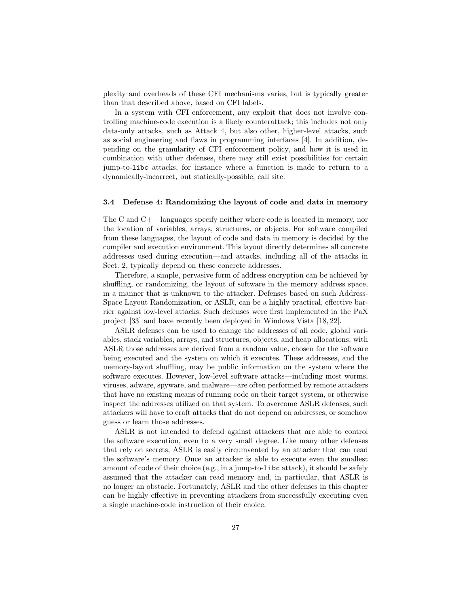plexity and overheads of these CFI mechanisms varies, but is typically greater than that described above, based on CFI labels.

In a system with CFI enforcement, any exploit that does not involve controlling machine-code execution is a likely counterattack; this includes not only data-only attacks, such as Attack 4, but also other, higher-level attacks, such as social engineering and flaws in programming interfaces [4]. In addition, depending on the granularity of CFI enforcement policy, and how it is used in combination with other defenses, there may still exist possibilities for certain jump-to-libc attacks, for instance where a function is made to return to a dynamically-incorrect, but statically-possible, call site.

# 3.4 Defense 4: Randomizing the layout of code and data in memory

The C and C++ languages specify neither where code is located in memory, nor the location of variables, arrays, structures, or objects. For software compiled from these languages, the layout of code and data in memory is decided by the compiler and execution environment. This layout directly determines all concrete addresses used during execution—and attacks, including all of the attacks in Sect. 2, typically depend on these concrete addresses.

Therefore, a simple, pervasive form of address encryption can be achieved by shuffling, or randomizing, the layout of software in the memory address space, in a manner that is unknown to the attacker. Defenses based on such Address-Space Layout Randomization, or ASLR, can be a highly practical, effective barrier against low-level attacks. Such defenses were first implemented in the PaX project [33] and have recently been deployed in Windows Vista [18, 22].

ASLR defenses can be used to change the addresses of all code, global variables, stack variables, arrays, and structures, objects, and heap allocations; with ASLR those addresses are derived from a random value, chosen for the software being executed and the system on which it executes. These addresses, and the memory-layout shuffling, may be public information on the system where the software executes. However, low-level software attacks—including most worms, viruses, adware, spyware, and malware—are often performed by remote attackers that have no existing means of running code on their target system, or otherwise inspect the addresses utilized on that system. To overcome ASLR defenses, such attackers will have to craft attacks that do not depend on addresses, or somehow guess or learn those addresses.

ASLR is not intended to defend against attackers that are able to control the software execution, even to a very small degree. Like many other defenses that rely on secrets, ASLR is easily circumvented by an attacker that can read the software's memory. Once an attacker is able to execute even the smallest amount of code of their choice (e.g., in a jump-to-libc attack), it should be safely assumed that the attacker can read memory and, in particular, that ASLR is no longer an obstacle. Fortunately, ASLR and the other defenses in this chapter can be highly effective in preventing attackers from successfully executing even a single machine-code instruction of their choice.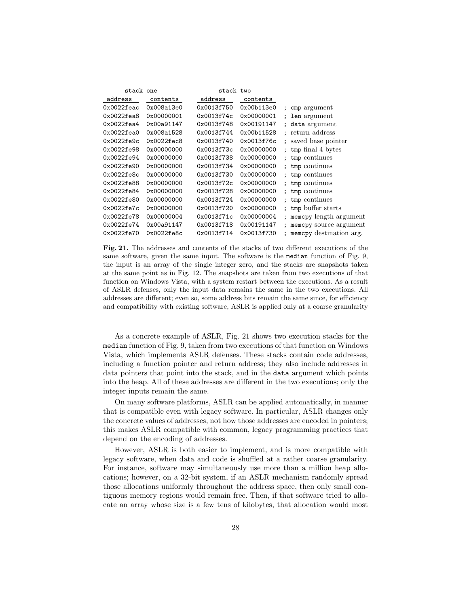| stack one        |               | stack two  |            |                                        |
|------------------|---------------|------------|------------|----------------------------------------|
| address          | contents      | address    | contents   |                                        |
| $0x0022$ feac    | 0x008a13e0    | 0x0013f750 | 0x00b113e0 | ; cmp argument                         |
| $0x0022$ fea $8$ | 0x00000001    | 0x0013f74c | 0x00000001 | ; len argument                         |
| $0x0022$ fea $4$ | 0x00a91147    | 0x0013f748 | 0x00191147 | ; data argument                        |
| $0x0022$ fea $0$ | 0x008a1528    | 0x0013f744 | 0x00b11528 | ; return address                       |
| $0x0022$ fe $9c$ | $0x0022$ fec8 | 0x0013f740 | 0x0013f76c | ; saved base pointer                   |
| 0x0022fe98       | 0x00000000    | 0x0013f73c | 0x00000000 | ; tmp final 4 bytes                    |
| 0x0022fe94       | 0x00000000    | 0x0013f738 | 0x00000000 | ; tmp continues                        |
| 0x0022fe90       | 0x00000000    | 0x0013f734 | 0x00000000 | ; tmp continues                        |
| $0x0022$ fe8c    | 0x00000000    | 0x0013f730 | 0x00000000 | ; tmp continues                        |
| $0x0022$ fe $88$ | 0x00000000    | 0x0013f72c | 0x00000000 | ; tmp continues                        |
| $0x0022$ fe $84$ | 0x00000000    | 0x0013f728 | 0x00000000 | ; tmp continues                        |
| $0x0022$ fe $80$ | 0x00000000    | 0x0013f724 | 0x00000000 | ; tmp continues                        |
| $0x0022$ fe $7c$ | 0x00000000    | 0x0013f720 | 0x00000000 | ; tmp buffer starts                    |
| 0x0022fe78       | 0x00000004    | 0x0013f71c | 0x00000004 | memory length argument<br>$\mathbf{r}$ |
| 0x0022fe74       | 0x00a91147    | 0x0013f718 | 0x00191147 | memory source argument                 |
| 0x0022fe70       | $0x0022$ fe8c | 0x0013f714 | 0x0013f730 | memory destination arg.                |

Fig. 21. The addresses and contents of the stacks of two different executions of the same software, given the same input. The software is the median function of Fig. 9, the input is an array of the single integer zero, and the stacks are snapshots taken at the same point as in Fig. 12. The snapshots are taken from two executions of that function on Windows Vista, with a system restart between the executions. As a result of ASLR defenses, only the input data remains the same in the two executions. All addresses are different; even so, some address bits remain the same since, for efficiency and compatibility with existing software, ASLR is applied only at a coarse granularity

As a concrete example of ASLR, Fig. 21 shows two execution stacks for the median function of Fig. 9, taken from two executions of that function on Windows Vista, which implements ASLR defenses. These stacks contain code addresses, including a function pointer and return address; they also include addresses in data pointers that point into the stack, and in the data argument which points into the heap. All of these addresses are different in the two executions; only the integer inputs remain the same.

On many software platforms, ASLR can be applied automatically, in manner that is compatible even with legacy software. In particular, ASLR changes only the concrete values of addresses, not how those addresses are encoded in pointers; this makes ASLR compatible with common, legacy programming practices that depend on the encoding of addresses.

However, ASLR is both easier to implement, and is more compatible with legacy software, when data and code is shuffled at a rather coarse granularity. For instance, software may simultaneously use more than a million heap allocations; however, on a 32-bit system, if an ASLR mechanism randomly spread those allocations uniformly throughout the address space, then only small contiguous memory regions would remain free. Then, if that software tried to allocate an array whose size is a few tens of kilobytes, that allocation would most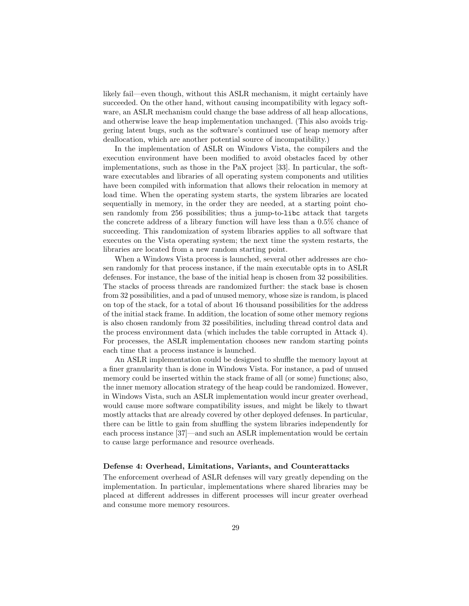likely fail—even though, without this ASLR mechanism, it might certainly have succeeded. On the other hand, without causing incompatibility with legacy software, an ASLR mechanism could change the base address of all heap allocations, and otherwise leave the heap implementation unchanged. (This also avoids triggering latent bugs, such as the software's continued use of heap memory after deallocation, which are another potential source of incompatibility.)

In the implementation of ASLR on Windows Vista, the compilers and the execution environment have been modified to avoid obstacles faced by other implementations, such as those in the PaX project [33]. In particular, the software executables and libraries of all operating system components and utilities have been compiled with information that allows their relocation in memory at load time. When the operating system starts, the system libraries are located sequentially in memory, in the order they are needed, at a starting point chosen randomly from 256 possibilities; thus a jump-to-libc attack that targets the concrete address of a library function will have less than a 0.5% chance of succeeding. This randomization of system libraries applies to all software that executes on the Vista operating system; the next time the system restarts, the libraries are located from a new random starting point.

When a Windows Vista process is launched, several other addresses are chosen randomly for that process instance, if the main executable opts in to ASLR defenses. For instance, the base of the initial heap is chosen from 32 possibilities. The stacks of process threads are randomized further: the stack base is chosen from 32 possibilities, and a pad of unused memory, whose size is random, is placed on top of the stack, for a total of about 16 thousand possibilities for the address of the initial stack frame. In addition, the location of some other memory regions is also chosen randomly from 32 possibilities, including thread control data and the process environment data (which includes the table corrupted in Attack 4). For processes, the ASLR implementation chooses new random starting points each time that a process instance is launched.

An ASLR implementation could be designed to shuffle the memory layout at a finer granularity than is done in Windows Vista. For instance, a pad of unused memory could be inserted within the stack frame of all (or some) functions; also, the inner memory allocation strategy of the heap could be randomized. However, in Windows Vista, such an ASLR implementation would incur greater overhead, would cause more software compatibility issues, and might be likely to thwart mostly attacks that are already covered by other deployed defenses. In particular, there can be little to gain from shuffling the system libraries independently for each process instance [37]—and such an ASLR implementation would be certain to cause large performance and resource overheads.

# Defense 4: Overhead, Limitations, Variants, and Counterattacks

The enforcement overhead of ASLR defenses will vary greatly depending on the implementation. In particular, implementations where shared libraries may be placed at different addresses in different processes will incur greater overhead and consume more memory resources.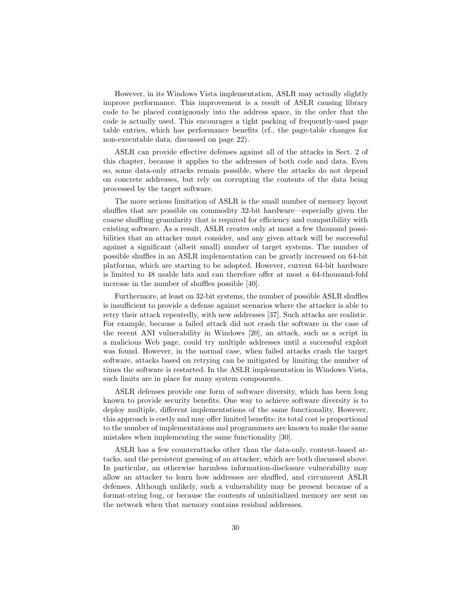However, in its Windows Vista implementation, ASLR may actually slightly improve performance. This improvement is a result of ASLR causing library code to be placed contiguously into the address space, in the order that the code is actually used. This encourages a tight packing of frequently-used page table entries, which has performance benefits (cf., the page-table changes for non-executable data, discussed on page 22).

ASLR can provide effective defenses against all of the attacks in Sect. 2 of this chapter, because it applies to the addresses of both code and data. Even so, some data-only attacks remain possible, where the attacks do not depend on concrete addresses, but rely on corrupting the contents of the data being processed by the target software.

The more serious limitation of ASLR is the small number of memory layout shuffles that are possible on commodity 32-bit hardware—especially given the coarse shuffling granularity that is required for efficiency and compatibility with existing software. As a result, ASLR creates only at most a few thousand possibilities that an attacker must consider, and any given attack will be successful against a significant (albeit small) number of target systems. The number of possible shuffles in an ASLR implementation can be greatly increased on 64-bit platforms, which are starting to be adopted. However, current 64-bit hardware is limited to 48 usable bits and can therefore offer at most a 64-thousand-fold increase in the number of shuffles possible [40].

Furthermore, at least on 32-bit systems, the number of possible ASLR shuffles is insufficient to provide a defense against scenarios where the attacker is able to retry their attack repeatedly, with new addresses [37]. Such attacks are realistic. For example, because a failed attack did not crash the software in the case of the recent ANI vulnerability in Windows [20], an attack, such as a script in a malicious Web page, could try multiple addresses until a successful exploit was found. However, in the normal case, when failed attacks crash the target software, attacks based on retrying can be mitigated by limiting the number of times the software is restarted. In the ASLR implementation in Windows Vista, such limits are in place for many system components.

ASLR defenses provide one form of software diversity, which has been long known to provide security benefits. One way to achieve software diversity is to deploy multiple, different implementations of the same functionality. However, this approach is costly and may offer limited benefits: its total cost is proportional to the number of implementations and programmers are known to make the same mistakes when implementing the same functionality [30].

ASLR has a few counterattacks other than the data-only, content-based attacks, and the persistent guessing of an attacker, which are both discussed above. In particular, an otherwise harmless information-disclosure vulnerability may allow an attacker to learn how addresses are shuffled, and circumvent ASLR defenses. Although unlikely, such a vulnerability may be present because of a format-string bug, or because the contents of uninitialized memory are sent on the network when that memory contains residual addresses.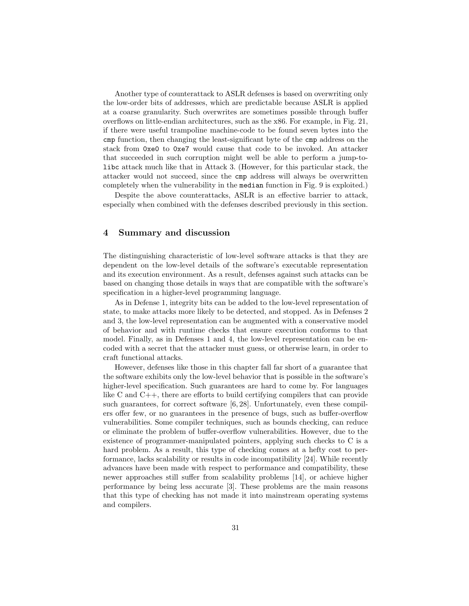Another type of counterattack to ASLR defenses is based on overwriting only the low-order bits of addresses, which are predictable because ASLR is applied at a coarse granularity. Such overwrites are sometimes possible through buffer overflows on little-endian architectures, such as the x86. For example, in Fig. 21, if there were useful trampoline machine-code to be found seven bytes into the cmp function, then changing the least-significant byte of the cmp address on the stack from 0xe0 to 0xe7 would cause that code to be invoked. An attacker that succeeded in such corruption might well be able to perform a jump-tolibc attack much like that in Attack 3. (However, for this particular stack, the attacker would not succeed, since the cmp address will always be overwritten completely when the vulnerability in the median function in Fig. 9 is exploited.)

Despite the above counterattacks, ASLR is an effective barrier to attack, especially when combined with the defenses described previously in this section.

# 4 Summary and discussion

The distinguishing characteristic of low-level software attacks is that they are dependent on the low-level details of the software's executable representation and its execution environment. As a result, defenses against such attacks can be based on changing those details in ways that are compatible with the software's specification in a higher-level programming language.

As in Defense 1, integrity bits can be added to the low-level representation of state, to make attacks more likely to be detected, and stopped. As in Defenses 2 and 3, the low-level representation can be augmented with a conservative model of behavior and with runtime checks that ensure execution conforms to that model. Finally, as in Defenses 1 and 4, the low-level representation can be encoded with a secret that the attacker must guess, or otherwise learn, in order to craft functional attacks.

However, defenses like those in this chapter fall far short of a guarantee that the software exhibits only the low-level behavior that is possible in the software's higher-level specification. Such guarantees are hard to come by. For languages like C and C++, there are efforts to build certifying compilers that can provide such guarantees, for correct software  $[6, 28]$ . Unfortunately, even these compilers offer few, or no guarantees in the presence of bugs, such as buffer-overflow vulnerabilities. Some compiler techniques, such as bounds checking, can reduce or eliminate the problem of buffer-overflow vulnerabilities. However, due to the existence of programmer-manipulated pointers, applying such checks to C is a hard problem. As a result, this type of checking comes at a hefty cost to performance, lacks scalability or results in code incompatibility [24]. While recently advances have been made with respect to performance and compatibility, these newer approaches still suffer from scalability problems [14], or achieve higher performance by being less accurate [3]. These problems are the main reasons that this type of checking has not made it into mainstream operating systems and compilers.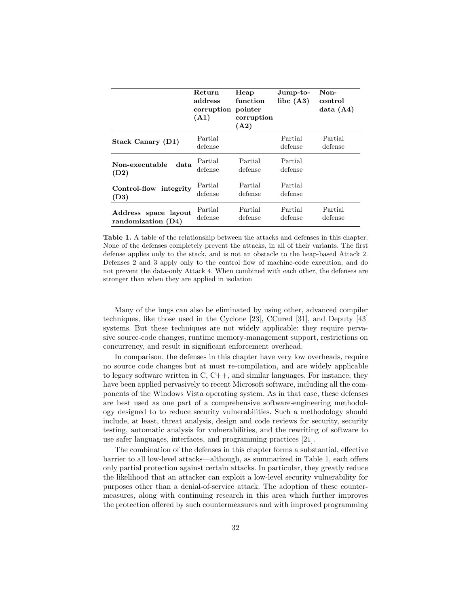|                                            | Return<br>address<br>corruption<br>(A1) | Heap<br>function<br>pointer<br>corruption<br>(A2) | Jump-to-<br>libc $(A3)$ | Non-<br>control<br>data $(A4)$ |
|--------------------------------------------|-----------------------------------------|---------------------------------------------------|-------------------------|--------------------------------|
| Stack Canary (D1)                          | Partial<br>defense                      |                                                   | Partial<br>defense      | Partial<br>defense             |
| Non-executable<br>data<br>(D2)             | Partial<br>defense                      | Partial<br>defense                                | Partial<br>defense      |                                |
| Control-flow integrity<br>(D3)             | Partial<br>defense                      | Partial<br>defense                                | Partial<br>defense      |                                |
| Address space layout<br>randomization (D4) | Partial<br>defense                      | Partial<br>defense                                | Partial<br>defense      | Partial<br>defense             |

Table 1. A table of the relationship between the attacks and defenses in this chapter. None of the defenses completely prevent the attacks, in all of their variants. The first defense applies only to the stack, and is not an obstacle to the heap-based Attack 2. Defenses 2 and 3 apply only to the control flow of machine-code execution, and do not prevent the data-only Attack 4. When combined with each other, the defenses are stronger than when they are applied in isolation

Many of the bugs can also be eliminated by using other, advanced compiler techniques, like those used in the Cyclone [23], CCured [31], and Deputy [43] systems. But these techniques are not widely applicable: they require pervasive source-code changes, runtime memory-management support, restrictions on concurrency, and result in significant enforcement overhead.

In comparison, the defenses in this chapter have very low overheads, require no source code changes but at most re-compilation, and are widely applicable to legacy software written in C, C++, and similar languages. For instance, they have been applied pervasively to recent Microsoft software, including all the components of the Windows Vista operating system. As in that case, these defenses are best used as one part of a comprehensive software-engineering methodology designed to to reduce security vulnerabilities. Such a methodology should include, at least, threat analysis, design and code reviews for security, security testing, automatic analysis for vulnerabilities, and the rewriting of software to use safer languages, interfaces, and programming practices [21].

The combination of the defenses in this chapter forms a substantial, effective barrier to all low-level attacks—although, as summarized in Table 1, each offers only partial protection against certain attacks. In particular, they greatly reduce the likelihood that an attacker can exploit a low-level security vulnerability for purposes other than a denial-of-service attack. The adoption of these countermeasures, along with continuing research in this area which further improves the protection offered by such countermeasures and with improved programming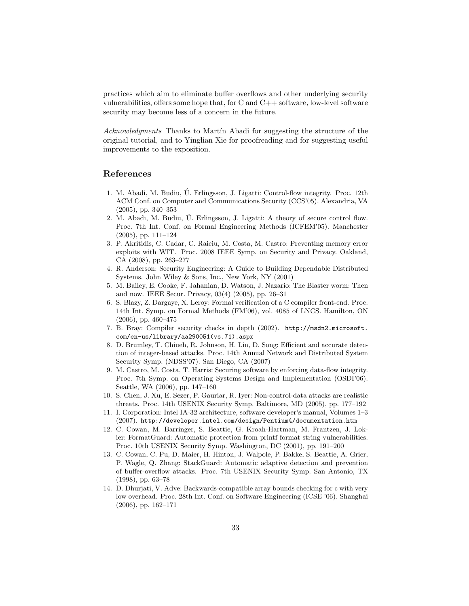practices which aim to eliminate buffer overflows and other underlying security vulnerabilities, offers some hope that, for C and C++ software, low-level software security may become less of a concern in the future.

Acknowledgments Thanks to Martin Abadi for suggesting the structure of the original tutorial, and to Yinglian Xie for proofreading and for suggesting useful improvements to the exposition.

# References

- 1. M. Abadi, M. Budiu, Ú. Erlingsson, J. Ligatti: Control-flow integrity. Proc. 12th ACM Conf. on Computer and Communications Security (CCS'05). Alexandria, VA (2005), pp. 340–353
- 2. M. Abadi, M. Budiu, U. Erlingsson, J. Ligatti: A theory of secure control flow. ´ Proc. 7th Int. Conf. on Formal Engineering Methods (ICFEM'05). Manchester (2005), pp. 111–124
- 3. P. Akritidis, C. Cadar, C. Raiciu, M. Costa, M. Castro: Preventing memory error exploits with WIT. Proc. 2008 IEEE Symp. on Security and Privacy. Oakland, CA (2008), pp. 263–277
- 4. R. Anderson: Security Engineering: A Guide to Building Dependable Distributed Systems. John Wiley & Sons, Inc., New York, NY (2001)
- 5. M. Bailey, E. Cooke, F. Jahanian, D. Watson, J. Nazario: The Blaster worm: Then and now. IEEE Secur. Privacy, 03(4) (2005), pp. 26–31
- 6. S. Blazy, Z. Dargaye, X. Leroy: Formal verification of a C compiler front-end. Proc. 14th Int. Symp. on Formal Methods (FM'06), vol. 4085 of LNCS. Hamilton, ON (2006), pp. 460–475
- 7. B. Bray: Compiler security checks in depth (2002). http://msdn2.microsoft. com/en-us/library/aa290051(vs.71).aspx
- 8. D. Brumley, T. Chiueh, R. Johnson, H. Lin, D. Song: Efficient and accurate detection of integer-based attacks. Proc. 14th Annual Network and Distributed System Security Symp. (NDSS'07). San Diego, CA (2007)
- 9. M. Castro, M. Costa, T. Harris: Securing software by enforcing data-flow integrity. Proc. 7th Symp. on Operating Systems Design and Implementation (OSDI'06). Seattle, WA (2006), pp. 147–160
- 10. S. Chen, J. Xu, E. Sezer, P. Gauriar, R. Iyer: Non-control-data attacks are realistic threats. Proc. 14th USENIX Security Symp. Baltimore, MD (2005), pp. 177–192
- 11. I. Corporation: Intel IA-32 architecture, software developer's manual, Volumes 1–3 (2007). http://developer.intel.com/design/Pentium4/documentation.htm
- 12. C. Cowan, M. Barringer, S. Beattie, G. Kroah-Hartman, M. Frantzen, J. Lokier: FormatGuard: Automatic protection from printf format string vulnerabilities. Proc. 10th USENIX Security Symp. Washington, DC (2001), pp. 191–200
- 13. C. Cowan, C. Pu, D. Maier, H. Hinton, J. Walpole, P. Bakke, S. Beattie, A. Grier, P. Wagle, Q. Zhang: StackGuard: Automatic adaptive detection and prevention of buffer-overflow attacks. Proc. 7th USENIX Security Symp. San Antonio, TX (1998), pp. 63–78
- 14. D. Dhurjati, V. Adve: Backwards-compatible array bounds checking for c with very low overhead. Proc. 28th Int. Conf. on Software Engineering (ICSE '06). Shanghai (2006), pp. 162–171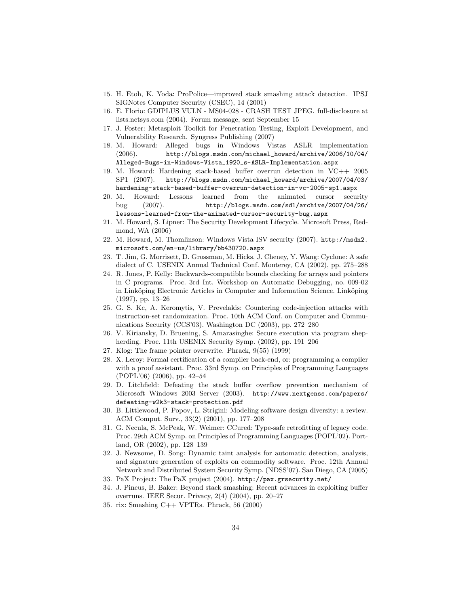- 15. H. Etoh, K. Yoda: ProPolice—improved stack smashing attack detection. IPSJ SIGNotes Computer Security (CSEC), 14 (2001)
- 16. E. Florio: GDIPLUS VULN MS04-028 CRASH TEST JPEG. full-disclosure at lists.netsys.com (2004). Forum message, sent September 15
- 17. J. Foster: Metasploit Toolkit for Penetration Testing, Exploit Development, and Vulnerability Research. Syngress Publishing (2007)
- 18. M. Howard: Alleged bugs in Windows Vistas ASLR implementation (2006). http://blogs.msdn.com/michael\_howard/archive/2006/10/04/ Alleged-Bugs-in-Windows-Vista\_1920\_s-ASLR-Implementation.aspx
- 19. M. Howard: Hardening stack-based buffer overrun detection in VC++ 2005 SP1 (2007). http://blogs.msdn.com/michael\_howard/archive/2007/04/03/ hardening-stack-based-buffer-overrun-detection-in-vc-2005-sp1.aspx
- 20. M. Howard: Lessons learned from the animated cursor security bug (2007). http://blogs.msdn.com/sdl/archive/2007/04/26/ lessons-learned-from-the-animated-cursor-security-bug.aspx
- 21. M. Howard, S. Lipner: The Security Development Lifecycle. Microsoft Press, Redmond, WA (2006)
- 22. M. Howard, M. Thomlinson: Windows Vista ISV security (2007). http://msdn2. microsoft.com/en-us/library/bb430720.aspx
- 23. T. Jim, G. Morrisett, D. Grossman, M. Hicks, J. Cheney, Y. Wang: Cyclone: A safe dialect of C. USENIX Annual Technical Conf. Monterey, CA (2002), pp. 275–288
- 24. R. Jones, P. Kelly: Backwards-compatible bounds checking for arrays and pointers in C programs. Proc. 3rd Int. Workshop on Automatic Debugging, no. 009-02 in Linköping Electronic Articles in Computer and Information Science. Linköping (1997), pp. 13–26
- 25. G. S. Kc, A. Keromytis, V. Prevelakis: Countering code-injection attacks with instruction-set randomization. Proc. 10th ACM Conf. on Computer and Communications Security (CCS'03). Washington DC (2003), pp. 272–280
- 26. V. Kiriansky, D. Bruening, S. Amarasinghe: Secure execution via program shepherding. Proc. 11th USENIX Security Symp. (2002), pp. 191–206
- 27. Klog: The frame pointer overwrite. Phrack, 9(55) (1999)
- 28. X. Leroy: Formal certification of a compiler back-end, or: programming a compiler with a proof assistant. Proc. 33rd Symp. on Principles of Programming Languages (POPL'06) (2006), pp. 42–54
- 29. D. Litchfield: Defeating the stack buffer overflow prevention mechanism of Microsoft Windows 2003 Server (2003). http://www.nextgenss.com/papers/ defeating-w2k3-stack-protection.pdf
- 30. B. Littlewood, P. Popov, L. Strigini: Modeling software design diversity: a review. ACM Comput. Surv., 33(2) (2001), pp. 177–208
- 31. G. Necula, S. McPeak, W. Weimer: CCured: Type-safe retrofitting of legacy code. Proc. 29th ACM Symp. on Principles of Programming Languages (POPL'02). Portland, OR (2002), pp. 128–139
- 32. J. Newsome, D. Song: Dynamic taint analysis for automatic detection, analysis, and signature generation of exploits on commodity software. Proc. 12th Annual Network and Distributed System Security Symp. (NDSS'07). San Diego, CA (2005)
- 33. PaX Project: The PaX project (2004). http://pax.grsecurity.net/
- 34. J. Pincus, B. Baker: Beyond stack smashing: Recent advances in exploiting buffer overruns. IEEE Secur. Privacy, 2(4) (2004), pp. 20–27
- 35. rix: Smashing C++ VPTRs. Phrack, 56 (2000)